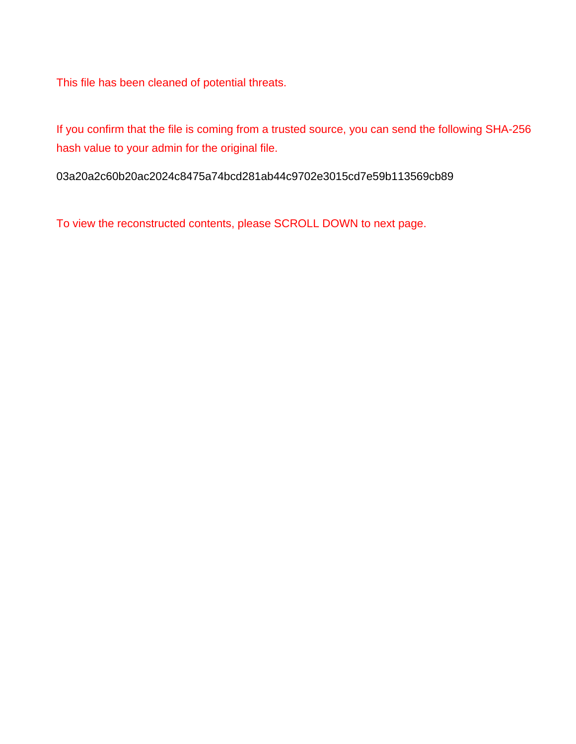This file has been cleaned of potential threats.

If you confirm that the file is coming from a trusted source, you can send the following SHA-256 hash value to your admin for the original file.

03a20a2c60b20ac2024c8475a74bcd281ab44c9702e3015cd7e59b113569cb89

To view the reconstructed contents, please SCROLL DOWN to next page.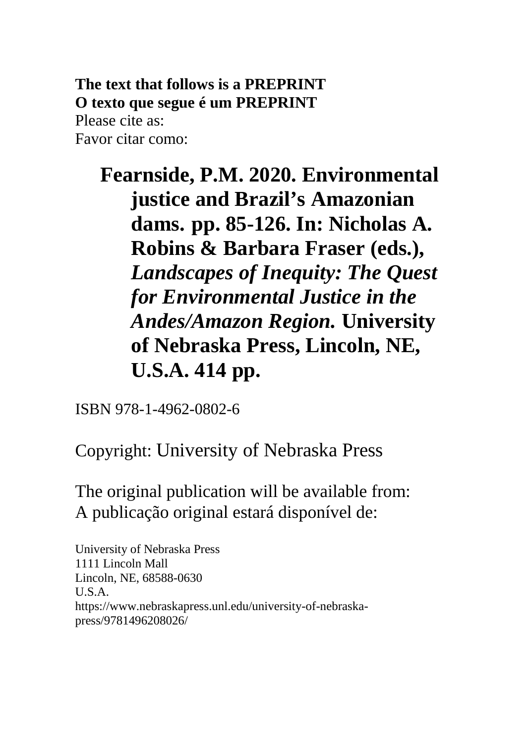**The text that follows is a PREPRINT O texto que segue é um PREPRINT** Please cite as: Favor citar como:

**Fearnside, P.M. 2020. Environmental justice and Brazil's Amazonian dams. pp. 85-126. In: Nicholas A. Robins & Barbara Fraser (eds.),**  *Landscapes of Inequity: The Quest for Environmental Justice in the Andes/Amazon Region.* **University of Nebraska Press, Lincoln, NE, U.S.A. 414 pp.**

ISBN 978-1-4962-0802-6

Copyright: University of Nebraska Press

The original publication will be available from: A publicação original estará disponível de:

University of Nebraska Press 1111 Lincoln Mall Lincoln, NE, 68588-0630 U.S.A. https://www.nebraskapress.unl.edu/university-of-nebraskapress/9781496208026/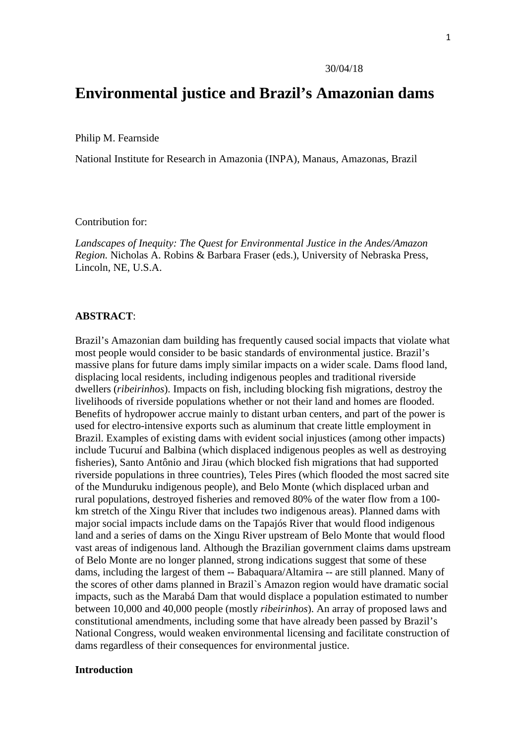# **Environmental justice and Brazil's Amazonian dams**

Philip M. Fearnside

National Institute for Research in Amazonia (INPA), Manaus, Amazonas, Brazil

Contribution for:

*Landscapes of Inequity: The Quest for Environmental Justice in the Andes/Amazon Region.* Nicholas A. Robins & Barbara Fraser (eds.), University of Nebraska Press, Lincoln, NE, U.S.A.

#### **ABSTRACT**:

Brazil's Amazonian dam building has frequently caused social impacts that violate what most people would consider to be basic standards of environmental justice. Brazil's massive plans for future dams imply similar impacts on a wider scale. Dams flood land, displacing local residents, including indigenous peoples and traditional riverside dwellers (*ribeirinhos*). Impacts on fish, including blocking fish migrations, destroy the livelihoods of riverside populations whether or not their land and homes are flooded. Benefits of hydropower accrue mainly to distant urban centers, and part of the power is used for electro-intensive exports such as aluminum that create little employment in Brazil. Examples of existing dams with evident social injustices (among other impacts) include Tucuruí and Balbina (which displaced indigenous peoples as well as destroying fisheries), Santo Antônio and Jirau (which blocked fish migrations that had supported riverside populations in three countries), Teles Pires (which flooded the most sacred site of the Munduruku indigenous people), and Belo Monte (which displaced urban and rural populations, destroyed fisheries and removed 80% of the water flow from a 100 km stretch of the Xingu River that includes two indigenous areas). Planned dams with major social impacts include dams on the Tapajós River that would flood indigenous land and a series of dams on the Xingu River upstream of Belo Monte that would flood vast areas of indigenous land. Although the Brazilian government claims dams upstream of Belo Monte are no longer planned, strong indications suggest that some of these dams, including the largest of them -- Babaquara/Altamira -- are still planned. Many of the scores of other dams planned in Brazil`s Amazon region would have dramatic social impacts, such as the Marabá Dam that would displace a population estimated to number between 10,000 and 40,000 people (mostly *ribeirinhos*). An array of proposed laws and constitutional amendments, including some that have already been passed by Brazil's National Congress, would weaken environmental licensing and facilitate construction of dams regardless of their consequences for environmental justice.

## **Introduction**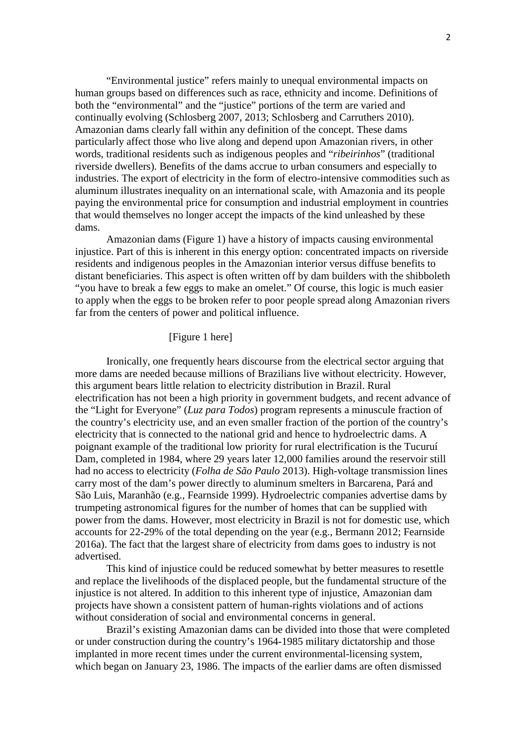"Environmental justice" refers mainly to unequal environmental impacts on human groups based on differences such as race, ethnicity and income. Definitions of both the "environmental" and the "justice" portions of the term are varied and continually evolving (Schlosberg 2007, 2013; Schlosberg and Carruthers 2010). Amazonian dams clearly fall within any definition of the concept. These dams particularly affect those who live along and depend upon Amazonian rivers, in other words, traditional residents such as indigenous peoples and "*ribeirinhos*" (traditional riverside dwellers). Benefits of the dams accrue to urban consumers and especially to industries. The export of electricity in the form of electro-intensive commodities such as aluminum illustrates inequality on an international scale, with Amazonia and its people paying the environmental price for consumption and industrial employment in countries that would themselves no longer accept the impacts of the kind unleashed by these dams.

Amazonian dams (Figure 1) have a history of impacts causing environmental injustice. Part of this is inherent in this energy option: concentrated impacts on riverside residents and indigenous peoples in the Amazonian interior versus diffuse benefits to distant beneficiaries. This aspect is often written off by dam builders with the shibboleth "you have to break a few eggs to make an omelet." Of course, this logic is much easier to apply when the eggs to be broken refer to poor people spread along Amazonian rivers far from the centers of power and political influence.

## [Figure 1 here]

Ironically, one frequently hears discourse from the electrical sector arguing that more dams are needed because millions of Brazilians live without electricity. However, this argument bears little relation to electricity distribution in Brazil. Rural electrification has not been a high priority in government budgets, and recent advance of the "Light for Everyone" (*Luz para Todos*) program represents a minuscule fraction of the country's electricity use, and an even smaller fraction of the portion of the country's electricity that is connected to the national grid and hence to hydroelectric dams. A poignant example of the traditional low priority for rural electrification is the Tucuruí Dam, completed in 1984, where 29 years later 12,000 families around the reservoir still had no access to electricity (*Folha de São Paulo* 2013). High-voltage transmission lines carry most of the dam's power directly to aluminum smelters in Barcarena, Pará and São Luis, Maranhão (e.g., Fearnside 1999). Hydroelectric companies advertise dams by trumpeting astronomical figures for the number of homes that can be supplied with power from the dams. However, most electricity in Brazil is not for domestic use, which accounts for 22-29% of the total depending on the year (e.g., Bermann 2012; Fearnside 2016a). The fact that the largest share of electricity from dams goes to industry is not advertised.

This kind of injustice could be reduced somewhat by better measures to resettle and replace the livelihoods of the displaced people, but the fundamental structure of the injustice is not altered. In addition to this inherent type of injustice, Amazonian dam projects have shown a consistent pattern of human-rights violations and of actions without consideration of social and environmental concerns in general.

Brazil's existing Amazonian dams can be divided into those that were completed or under construction during the country's 1964-1985 military dictatorship and those implanted in more recent times under the current environmental-licensing system, which began on January 23, 1986. The impacts of the earlier dams are often dismissed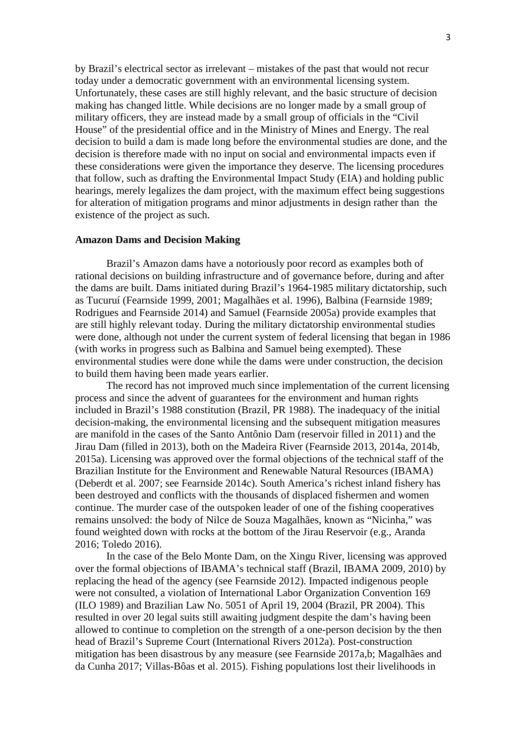by Brazil's electrical sector as irrelevant – mistakes of the past that would not recur today under a democratic government with an environmental licensing system. Unfortunately, these cases are still highly relevant, and the basic structure of decision making has changed little. While decisions are no longer made by a small group of military officers, they are instead made by a small group of officials in the "Civil House" of the presidential office and in the Ministry of Mines and Energy. The real decision to build a dam is made long before the environmental studies are done, and the decision is therefore made with no input on social and environmental impacts even if these considerations were given the importance they deserve. The licensing procedures that follow, such as drafting the Environmental Impact Study (EIA) and holding public hearings, merely legalizes the dam project, with the maximum effect being suggestions for alteration of mitigation programs and minor adjustments in design rather than the existence of the project as such.

#### **Amazon Dams and Decision Making**

Brazil's Amazon dams have a notoriously poor record as examples both of rational decisions on building infrastructure and of governance before, during and after the dams are built. Dams initiated during Brazil's 1964-1985 military dictatorship, such as Tucuruí (Fearnside 1999, 2001; Magalhães et al. 1996), Balbina (Fearnside 1989; Rodrigues and Fearnside 2014) and Samuel (Fearnside 2005a) provide examples that are still highly relevant today. During the military dictatorship environmental studies were done, although not under the current system of federal licensing that began in 1986 (with works in progress such as Balbina and Samuel being exempted). These environmental studies were done while the dams were under construction, the decision to build them having been made years earlier.

The record has not improved much since implementation of the current licensing process and since the advent of guarantees for the environment and human rights included in Brazil's 1988 constitution (Brazil, PR 1988). The inadequacy of the initial decision-making, the environmental licensing and the subsequent mitigation measures are manifold in the cases of the Santo Antônio Dam (reservoir filled in 2011) and the Jirau Dam (filled in 2013), both on the Madeira River (Fearnside 2013, 2014a, 2014b, 2015a). Licensing was approved over the formal objections of the technical staff of the Brazilian Institute for the Environment and Renewable Natural Resources (IBAMA) (Deberdt et al. 2007; see Fearnside 2014c). South America's richest inland fishery has been destroyed and conflicts with the thousands of displaced fishermen and women continue. The murder case of the outspoken leader of one of the fishing cooperatives remains unsolved: the body of Nilce de Souza Magalhães, known as "Nicinha," was found weighted down with rocks at the bottom of the Jirau Reservoir (e.g., Aranda 2016; Toledo 2016).

In the case of the Belo Monte Dam, on the Xingu River, licensing was approved over the formal objections of IBAMA's technical staff (Brazil, IBAMA 2009, 2010) by replacing the head of the agency (see Fearnside 2012). Impacted indigenous people were not consulted, a violation of International Labor Organization Convention 169 (ILO 1989) and Brazilian Law No. 5051 of April 19, 2004 (Brazil, PR 2004). This resulted in over 20 legal suits still awaiting judgment despite the dam's having been allowed to continue to completion on the strength of a one-person decision by the then head of Brazil's Supreme Court (International Rivers 2012a). Post-construction mitigation has been disastrous by any measure (see Fearnside 2017a,b; Magalhães and da Cunha 2017; Villas-Bôas et al. 2015). Fishing populations lost their livelihoods in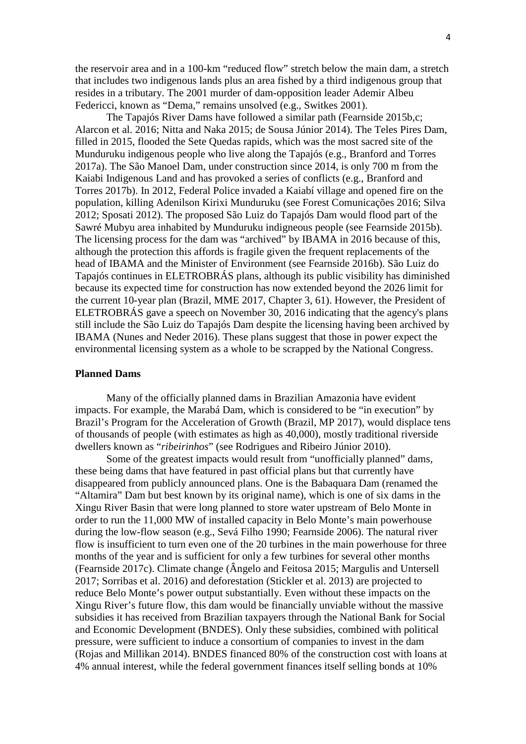the reservoir area and in a 100-km "reduced flow" stretch below the main dam, a stretch that includes two indigenous lands plus an area fished by a third indigenous group that resides in a tributary. The 2001 murder of dam-opposition leader Ademir Albeu Federicci, known as "Dema," remains unsolved (e.g., Switkes 2001).

The Tapajós River Dams have followed a similar path (Fearnside 2015b,c; Alarcon et al. 2016; Nitta and Naka 2015; de Sousa Júnior 2014). The Teles Pires Dam, filled in 2015, flooded the Sete Quedas rapids, which was the most sacred site of the Munduruku indigenous people who live along the Tapajós (e.g., Branford and Torres 2017a). The São Manoel Dam, under construction since 2014, is only 700 m from the Kaiabi Indigenous Land and has provoked a series of conflicts (e.g., Branford and Torres 2017b). In 2012, Federal Police invaded a Kaiabí village and opened fire on the population, killing Adenilson Kirixi Munduruku (see Forest Comunicações 2016; Silva 2012; Sposati 2012). The proposed São Luiz do Tapajós Dam would flood part of the Sawré Mubyu area inhabited by Munduruku indigneous people (see Fearnside 2015b). The licensing process for the dam was "archived" by IBAMA in 2016 because of this, although the protection this affords is fragile given the frequent replacements of the head of IBAMA and the Minister of Environment (see Fearnside 2016b). São Luiz do Tapajós continues in ELETROBRÁS plans, although its public visibility has diminished because its expected time for construction has now extended beyond the 2026 limit for the current 10-year plan (Brazil, MME 2017, Chapter 3, 61). However, the President of ELETROBRÁS gave a speech on November 30, 2016 indicating that the agency's plans still include the São Luiz do Tapajós Dam despite the licensing having been archived by IBAMA (Nunes and Neder 2016). These plans suggest that those in power expect the environmental licensing system as a whole to be scrapped by the National Congress.

## **Planned Dams**

Many of the officially planned dams in Brazilian Amazonia have evident impacts. For example, the Marabá Dam, which is considered to be "in execution" by Brazil's Program for the Acceleration of Growth (Brazil, MP 2017), would displace tens of thousands of people (with estimates as high as 40,000), mostly traditional riverside dwellers known as "*ribeirinhos*" (see Rodrigues and Ribeiro Júnior 2010).

Some of the greatest impacts would result from "unofficially planned" dams, these being dams that have featured in past official plans but that currently have disappeared from publicly announced plans. One is the Babaquara Dam (renamed the "Altamira" Dam but best known by its original name), which is one of six dams in the Xingu River Basin that were long planned to store water upstream of Belo Monte in order to run the 11,000 MW of installed capacity in Belo Monte's main powerhouse during the low-flow season (e.g., Sevá Filho 1990; Fearnside 2006). The natural river flow is insufficient to turn even one of the 20 turbines in the main powerhouse for three months of the year and is sufficient for only a few turbines for several other months (Fearnside 2017c). Climate change (Ângelo and Feitosa 2015; Margulis and Untersell 2017; Sorribas et al. 2016) and deforestation (Stickler et al. 2013) are projected to reduce Belo Monte's power output substantially. Even without these impacts on the Xingu River's future flow, this dam would be financially unviable without the massive subsidies it has received from Brazilian taxpayers through the National Bank for Social and Economic Development (BNDES). Only these subsidies, combined with political pressure, were sufficient to induce a consortium of companies to invest in the dam (Rojas and Millikan 2014). BNDES financed 80% of the construction cost with loans at 4% annual interest, while the federal government finances itself selling bonds at 10%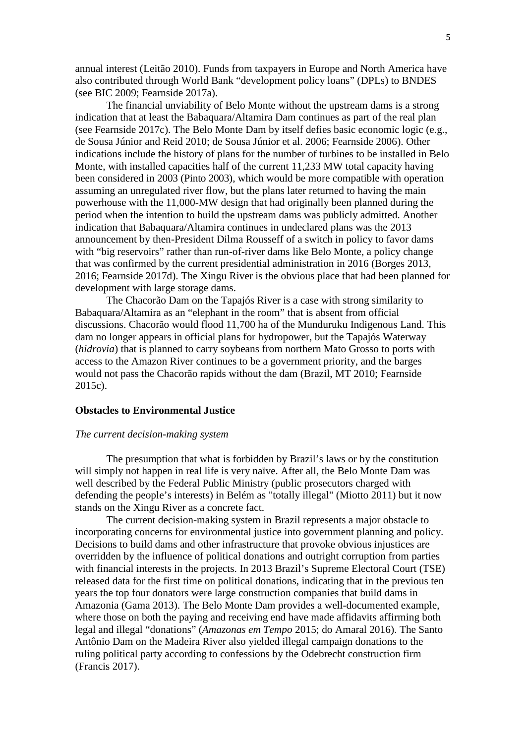annual interest (Leitão 2010). Funds from taxpayers in Europe and North America have also contributed through World Bank "development policy loans" (DPLs) to BNDES (see BIC 2009; Fearnside 2017a).

The financial unviability of Belo Monte without the upstream dams is a strong indication that at least the Babaquara/Altamira Dam continues as part of the real plan (see Fearnside 2017c). The Belo Monte Dam by itself defies basic economic logic (e.g., de Sousa Júnior and Reid 2010; de Sousa Júnior et al. 2006; Fearnside 2006). Other indications include the history of plans for the number of turbines to be installed in Belo Monte, with installed capacities half of the current 11,233 MW total capacity having been considered in 2003 (Pinto 2003), which would be more compatible with operation assuming an unregulated river flow, but the plans later returned to having the main powerhouse with the 11,000-MW design that had originally been planned during the period when the intention to build the upstream dams was publicly admitted. Another indication that Babaquara/Altamira continues in undeclared plans was the 2013 announcement by then-President Dilma Rousseff of a switch in policy to favor dams with "big reservoirs" rather than run-of-river dams like Belo Monte, a policy change that was confirmed by the current presidential administration in 2016 (Borges 2013, 2016; Fearnside 2017d). The Xingu River is the obvious place that had been planned for development with large storage dams.

The Chacorão Dam on the Tapajós River is a case with strong similarity to Babaquara/Altamira as an "elephant in the room" that is absent from official discussions. Chacorão would flood 11,700 ha of the Munduruku Indigenous Land. This dam no longer appears in official plans for hydropower, but the Tapajós Waterway (*hidrovia*) that is planned to carry soybeans from northern Mato Grosso to ports with access to the Amazon River continues to be a government priority, and the barges would not pass the Chacorão rapids without the dam (Brazil, MT 2010; Fearnside 2015c).

## **Obstacles to Environmental Justice**

#### *The current decision-making system*

The presumption that what is forbidden by Brazil's laws or by the constitution will simply not happen in real life is very naïve. After all, the Belo Monte Dam was well described by the Federal Public Ministry (public prosecutors charged with defending the people's interests) in Belém as "totally illegal" (Miotto 2011) but it now stands on the Xingu River as a concrete fact.

The current decision-making system in Brazil represents a major obstacle to incorporating concerns for environmental justice into government planning and policy. Decisions to build dams and other infrastructure that provoke obvious injustices are overridden by the influence of political donations and outright corruption from parties with financial interests in the projects. In 2013 Brazil's Supreme Electoral Court (TSE) released data for the first time on political donations, indicating that in the previous ten years the top four donators were large construction companies that build dams in Amazonia (Gama 2013). The Belo Monte Dam provides a well-documented example, where those on both the paying and receiving end have made affidavits affirming both legal and illegal "donations" (*Amazonas em Tempo* 2015; do Amaral 2016). The Santo Antônio Dam on the Madeira River also yielded illegal campaign donations to the ruling political party according to confessions by the Odebrecht construction firm (Francis 2017).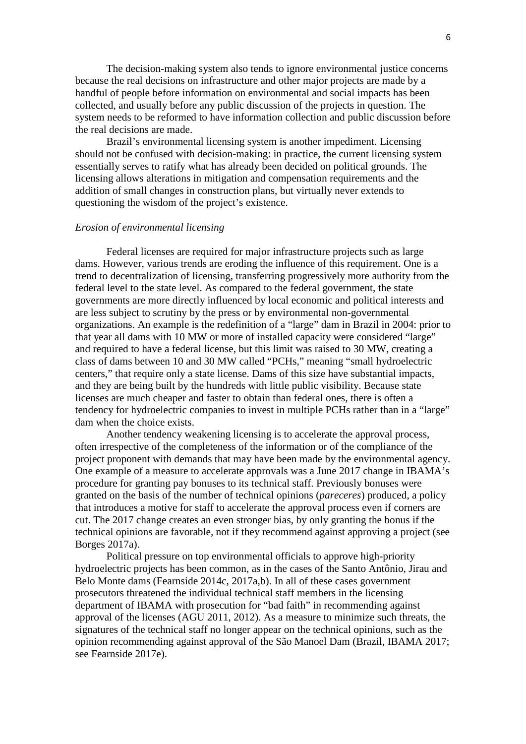The decision-making system also tends to ignore environmental justice concerns because the real decisions on infrastructure and other major projects are made by a handful of people before information on environmental and social impacts has been collected, and usually before any public discussion of the projects in question. The system needs to be reformed to have information collection and public discussion before the real decisions are made.

Brazil's environmental licensing system is another impediment. Licensing should not be confused with decision-making: in practice, the current licensing system essentially serves to ratify what has already been decided on political grounds. The licensing allows alterations in mitigation and compensation requirements and the addition of small changes in construction plans, but virtually never extends to questioning the wisdom of the project's existence.

### *Erosion of environmental licensing*

Federal licenses are required for major infrastructure projects such as large dams. However, various trends are eroding the influence of this requirement. One is a trend to decentralization of licensing, transferring progressively more authority from the federal level to the state level. As compared to the federal government, the state governments are more directly influenced by local economic and political interests and are less subject to scrutiny by the press or by environmental non-governmental organizations. An example is the redefinition of a "large" dam in Brazil in 2004: prior to that year all dams with 10 MW or more of installed capacity were considered "large" and required to have a federal license, but this limit was raised to 30 MW, creating a class of dams between 10 and 30 MW called "PCHs," meaning "small hydroelectric centers," that require only a state license. Dams of this size have substantial impacts, and they are being built by the hundreds with little public visibility. Because state licenses are much cheaper and faster to obtain than federal ones, there is often a tendency for hydroelectric companies to invest in multiple PCHs rather than in a "large" dam when the choice exists.

Another tendency weakening licensing is to accelerate the approval process, often irrespective of the completeness of the information or of the compliance of the project proponent with demands that may have been made by the environmental agency. One example of a measure to accelerate approvals was a June 2017 change in IBAMA's procedure for granting pay bonuses to its technical staff. Previously bonuses were granted on the basis of the number of technical opinions (*pareceres*) produced, a policy that introduces a motive for staff to accelerate the approval process even if corners are cut. The 2017 change creates an even stronger bias, by only granting the bonus if the technical opinions are favorable, not if they recommend against approving a project (see Borges 2017a).

Political pressure on top environmental officials to approve high-priority hydroelectric projects has been common, as in the cases of the Santo Antônio, Jirau and Belo Monte dams (Fearnside 2014c, 2017a,b). In all of these cases government prosecutors threatened the individual technical staff members in the licensing department of IBAMA with prosecution for "bad faith" in recommending against approval of the licenses (AGU 2011, 2012). As a measure to minimize such threats, the signatures of the technical staff no longer appear on the technical opinions, such as the opinion recommending against approval of the São Manoel Dam (Brazil, IBAMA 2017; see Fearnside 2017e).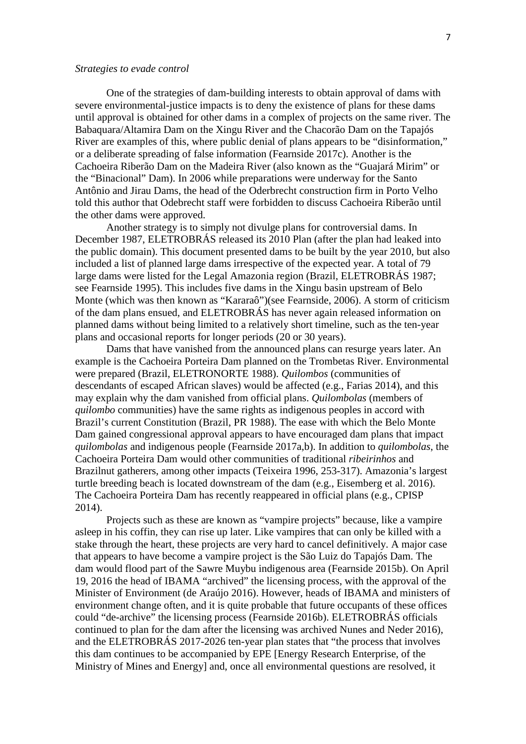#### *Strategies to evade control*

One of the strategies of dam-building interests to obtain approval of dams with severe environmental-justice impacts is to deny the existence of plans for these dams until approval is obtained for other dams in a complex of projects on the same river. The Babaquara/Altamira Dam on the Xingu River and the Chacorão Dam on the Tapajós River are examples of this, where public denial of plans appears to be "disinformation," or a deliberate spreading of false information (Fearnside 2017c). Another is the Cachoeira Riberão Dam on the Madeira River (also known as the "Guajará Mirim" or the "Binacional" Dam). In 2006 while preparations were underway for the Santo Antônio and Jirau Dams, the head of the Oderbrecht construction firm in Porto Velho told this author that Odebrecht staff were forbidden to discuss Cachoeira Riberão until the other dams were approved.

Another strategy is to simply not divulge plans for controversial dams. In December 1987, ELETROBRÁS released its 2010 Plan (after the plan had leaked into the public domain). This document presented dams to be built by the year 2010, but also included a list of planned large dams irrespective of the expected year. A total of 79 large dams were listed for the Legal Amazonia region (Brazil, ELETROBRÁS 1987; see Fearnside 1995). This includes five dams in the Xingu basin upstream of Belo Monte (which was then known as "Kararaô")(see Fearnside, 2006). A storm of criticism of the dam plans ensued, and ELETROBRÁS has never again released information on planned dams without being limited to a relatively short timeline, such as the ten-year plans and occasional reports for longer periods (20 or 30 years).

Dams that have vanished from the announced plans can resurge years later. An example is the Cachoeira Porteira Dam planned on the Trombetas River. Environmental were prepared (Brazil, ELETRONORTE 1988). *Quilombos* (communities of descendants of escaped African slaves) would be affected (e.g., Farias 2014), and this may explain why the dam vanished from official plans. *Quilombolas* (members of *quilombo* communities) have the same rights as indigenous peoples in accord with Brazil's current Constitution (Brazil, PR 1988). The ease with which the Belo Monte Dam gained congressional approval appears to have encouraged dam plans that impact *quilombolas* and indigenous people (Fearnside 2017a,b). In addition to *quilombolas*, the Cachoeira Porteira Dam would other communities of traditional *ribeirinhos* and Brazilnut gatherers, among other impacts (Teixeira 1996, 253-317). Amazonia's largest turtle breeding beach is located downstream of the dam (e.g., Eisemberg et al. 2016). The Cachoeira Porteira Dam has recently reappeared in official plans (e.g., CPISP 2014).

Projects such as these are known as "vampire projects" because, like a vampire asleep in his coffin, they can rise up later. Like vampires that can only be killed with a stake through the heart, these projects are very hard to cancel definitively. A major case that appears to have become a vampire project is the São Luiz do Tapajós Dam. The dam would flood part of the Sawre Muybu indigenous area (Fearnside 2015b). On April 19, 2016 the head of IBAMA "archived" the licensing process, with the approval of the Minister of Environment (de Araújo 2016). However, heads of IBAMA and ministers of environment change often, and it is quite probable that future occupants of these offices could "de-archive" the licensing process (Fearnside 2016b). ELETROBRÁS officials continued to plan for the dam after the licensing was archived Nunes and Neder 2016), and the ELETROBRÁS 2017-2026 ten-year plan states that "the process that involves this dam continues to be accompanied by EPE [Energy Research Enterprise, of the Ministry of Mines and Energy] and, once all environmental questions are resolved, it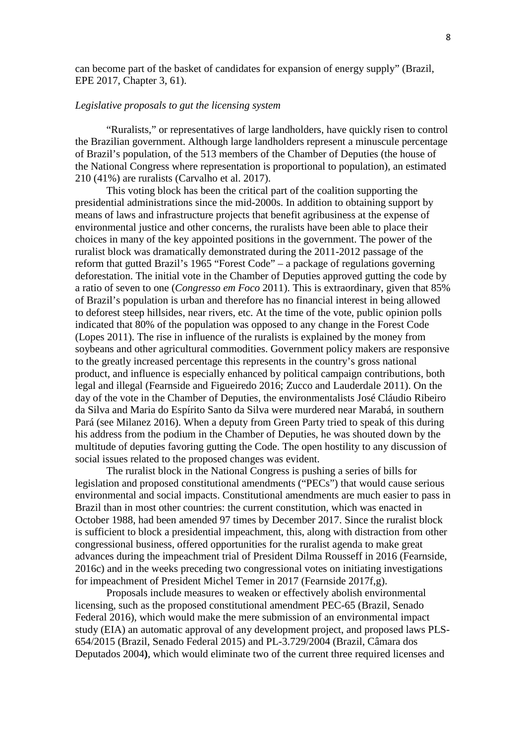can become part of the basket of candidates for expansion of energy supply" (Brazil, EPE 2017, Chapter 3, 61).

### *Legislative proposals to gut the licensing system*

"Ruralists," or representatives of large landholders, have quickly risen to control the Brazilian government. Although large landholders represent a minuscule percentage of Brazil's population, of the 513 members of the Chamber of Deputies (the house of the National Congress where representation is proportional to population), an estimated 210 (41%) are ruralists (Carvalho et al. 2017).

This voting block has been the critical part of the coalition supporting the presidential administrations since the mid-2000s. In addition to obtaining support by means of laws and infrastructure projects that benefit agribusiness at the expense of environmental justice and other concerns, the ruralists have been able to place their choices in many of the key appointed positions in the government. The power of the ruralist block was dramatically demonstrated during the 2011-2012 passage of the reform that gutted Brazil's 1965 "Forest Code" – a package of regulations governing deforestation. The initial vote in the Chamber of Deputies approved gutting the code by a ratio of seven to one (*Congresso em Foco* 2011). This is extraordinary, given that 85% of Brazil's population is urban and therefore has no financial interest in being allowed to deforest steep hillsides, near rivers, etc. At the time of the vote, public opinion polls indicated that 80% of the population was opposed to any change in the Forest Code (Lopes 2011). The rise in influence of the ruralists is explained by the money from soybeans and other agricultural commodities. Government policy makers are responsive to the greatly increased percentage this represents in the country's gross national product, and influence is especially enhanced by political campaign contributions, both legal and illegal (Fearnside and Figueiredo 2016; Zucco and Lauderdale 2011). On the day of the vote in the Chamber of Deputies, the environmentalists José Cláudio Ribeiro da Silva and Maria do Espírito Santo da Silva were murdered near Marabá, in southern Pará (see Milanez 2016). When a deputy from Green Party tried to speak of this during his address from the podium in the Chamber of Deputies, he was shouted down by the multitude of deputies favoring gutting the Code. The open hostility to any discussion of social issues related to the proposed changes was evident.

The ruralist block in the National Congress is pushing a series of bills for legislation and proposed constitutional amendments ("PECs") that would cause serious environmental and social impacts. Constitutional amendments are much easier to pass in Brazil than in most other countries: the current constitution, which was enacted in October 1988, had been amended 97 times by December 2017. Since the ruralist block is sufficient to block a presidential impeachment, this, along with distraction from other congressional business, offered opportunities for the ruralist agenda to make great advances during the impeachment trial of President Dilma Rousseff in 2016 (Fearnside, 2016c) and in the weeks preceding two congressional votes on initiating investigations for impeachment of President Michel Temer in 2017 (Fearnside 2017f,g).

Proposals include measures to weaken or effectively abolish environmental licensing, such as the proposed constitutional amendment PEC-65 (Brazil, Senado Federal 2016), which would make the mere submission of an environmental impact study (EIA) an automatic approval of any development project, and proposed laws PLS-654/2015 (Brazil, Senado Federal 2015) and PL-3.729/2004 (Brazil, Câmara dos Deputados 2004**)**, which would eliminate two of the current three required licenses and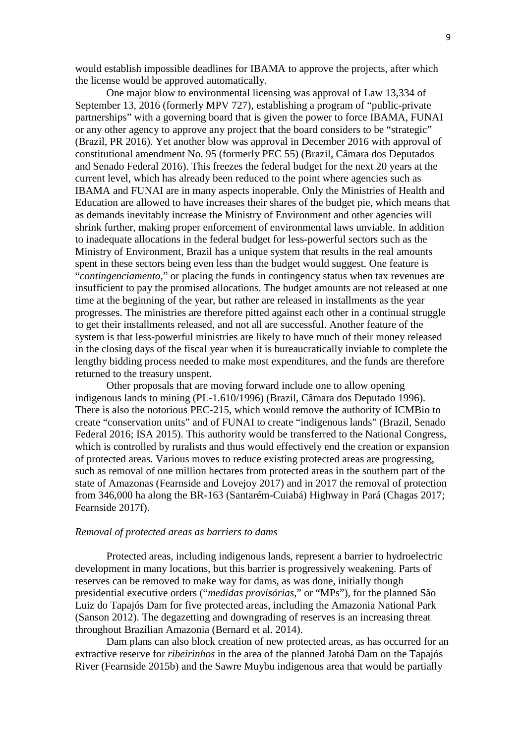would establish impossible deadlines for IBAMA to approve the projects, after which the license would be approved automatically.

One major blow to environmental licensing was approval of Law 13,334 of September 13, 2016 (formerly MPV 727), establishing a program of "public-private partnerships" with a governing board that is given the power to force IBAMA, FUNAI or any other agency to approve any project that the board considers to be "strategic" (Brazil, PR 2016). Yet another blow was approval in December 2016 with approval of constitutional amendment No. 95 (formerly PEC 55) (Brazil, Câmara dos Deputados and Senado Federal 2016). This freezes the federal budget for the next 20 years at the current level, which has already been reduced to the point where agencies such as IBAMA and FUNAI are in many aspects inoperable. Only the Ministries of Health and Education are allowed to have increases their shares of the budget pie, which means that as demands inevitably increase the Ministry of Environment and other agencies will shrink further, making proper enforcement of environmental laws unviable. In addition to inadequate allocations in the federal budget for less-powerful sectors such as the Ministry of Environment, Brazil has a unique system that results in the real amounts spent in these sectors being even less than the budget would suggest. One feature is "*contingenciamento,*" or placing the funds in contingency status when tax revenues are insufficient to pay the promised allocations. The budget amounts are not released at one time at the beginning of the year, but rather are released in installments as the year progresses. The ministries are therefore pitted against each other in a continual struggle to get their installments released, and not all are successful. Another feature of the system is that less-powerful ministries are likely to have much of their money released in the closing days of the fiscal year when it is bureaucratically inviable to complete the lengthy bidding process needed to make most expenditures, and the funds are therefore returned to the treasury unspent.

Other proposals that are moving forward include one to allow opening indigenous lands to mining (PL-1.610/1996) (Brazil, Câmara dos Deputado 1996). There is also the notorious PEC-215, which would remove the authority of ICMBio to create "conservation units" and of FUNAI to create "indigenous lands" (Brazil, Senado Federal 2016; ISA 2015). This authority would be transferred to the National Congress, which is controlled by ruralists and thus would effectively end the creation or expansion of protected areas. Various moves to reduce existing protected areas are progressing, such as removal of one million hectares from protected areas in the southern part of the state of Amazonas (Fearnside and Lovejoy 2017) and in 2017 the removal of protection from 346,000 ha along the BR-163 (Santarém-Cuiabá) Highway in Pará (Chagas 2017; Fearnside 2017f).

#### *Removal of protected areas as barriers to dams*

Protected areas, including indigenous lands, represent a barrier to hydroelectric development in many locations, but this barrier is progressively weakening. Parts of reserves can be removed to make way for dams, as was done, initially though presidential executive orders ("*medidas provisórias*," or "MPs"), for the planned São Luiz do Tapajós Dam for five protected areas, including the Amazonia National Park (Sanson 2012). The degazetting and downgrading of reserves is an increasing threat throughout Brazilian Amazonia (Bernard et al. 2014).

Dam plans can also block creation of new protected areas, as has occurred for an extractive reserve for *ribeirinhos* in the area of the planned Jatobá Dam on the Tapajós River (Fearnside 2015b) and the Sawre Muybu indigenous area that would be partially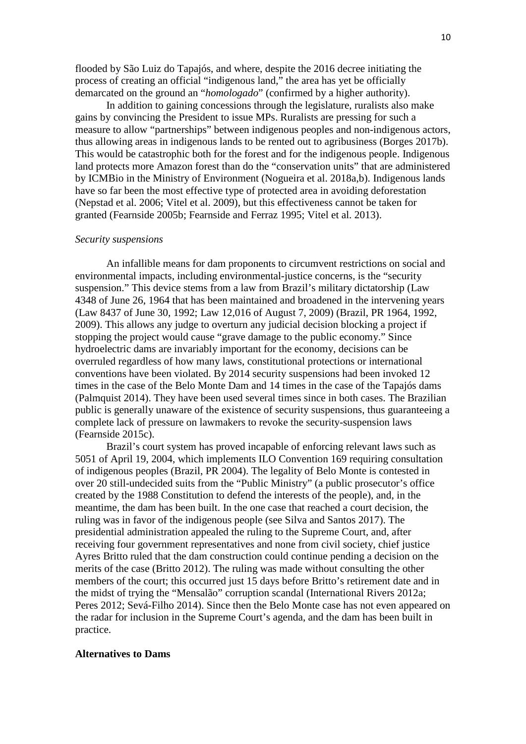flooded by São Luiz do Tapajós, and where, despite the 2016 decree initiating the process of creating an official "indigenous land," the area has yet be officially demarcated on the ground an "*homologado*" (confirmed by a higher authority).

In addition to gaining concessions through the legislature, ruralists also make gains by convincing the President to issue MPs. Ruralists are pressing for such a measure to allow "partnerships" between indigenous peoples and non-indigenous actors, thus allowing areas in indigenous lands to be rented out to agribusiness (Borges 2017b). This would be catastrophic both for the forest and for the indigenous people. Indigenous land protects more Amazon forest than do the "conservation units" that are administered by ICMBio in the Ministry of Environment (Nogueira et al. 2018a,b). Indigenous lands have so far been the most effective type of protected area in avoiding deforestation (Nepstad et al. 2006; Vitel et al. 2009), but this effectiveness cannot be taken for granted (Fearnside 2005b; Fearnside and Ferraz 1995; Vitel et al. 2013).

#### *Security suspensions*

An infallible means for dam proponents to circumvent restrictions on social and environmental impacts, including environmental-justice concerns, is the "security suspension." This device stems from a law from Brazil's military dictatorship (Law 4348 of June 26, 1964 that has been maintained and broadened in the intervening years (Law 8437 of June 30, 1992; Law 12,016 of August 7, 2009) (Brazil, PR 1964, 1992, 2009). This allows any judge to overturn any judicial decision blocking a project if stopping the project would cause "grave damage to the public economy." Since hydroelectric dams are invariably important for the economy, decisions can be overruled regardless of how many laws, constitutional protections or international conventions have been violated. By 2014 security suspensions had been invoked 12 times in the case of the Belo Monte Dam and 14 times in the case of the Tapajós dams (Palmquist 2014). They have been used several times since in both cases. The Brazilian public is generally unaware of the existence of security suspensions, thus guaranteeing a complete lack of pressure on lawmakers to revoke the security-suspension laws (Fearnside 2015c).

Brazil's court system has proved incapable of enforcing relevant laws such as 5051 of April 19, 2004, which implements ILO Convention 169 requiring consultation of indigenous peoples (Brazil, PR 2004). The legality of Belo Monte is contested in over 20 still-undecided suits from the "Public Ministry" (a public prosecutor's office created by the 1988 Constitution to defend the interests of the people), and, in the meantime, the dam has been built. In the one case that reached a court decision, the ruling was in favor of the indigenous people (see Silva and Santos 2017). The presidential administration appealed the ruling to the Supreme Court, and, after receiving four government representatives and none from civil society, chief justice Ayres Britto ruled that the dam construction could continue pending a decision on the merits of the case (Britto 2012). The ruling was made without consulting the other members of the court; this occurred just 15 days before Britto's retirement date and in the midst of trying the "Mensalão" corruption scandal (International Rivers 2012a; Peres 2012; Sevá-Filho 2014). Since then the Belo Monte case has not even appeared on the radar for inclusion in the Supreme Court's agenda, and the dam has been built in practice.

#### **Alternatives to Dams**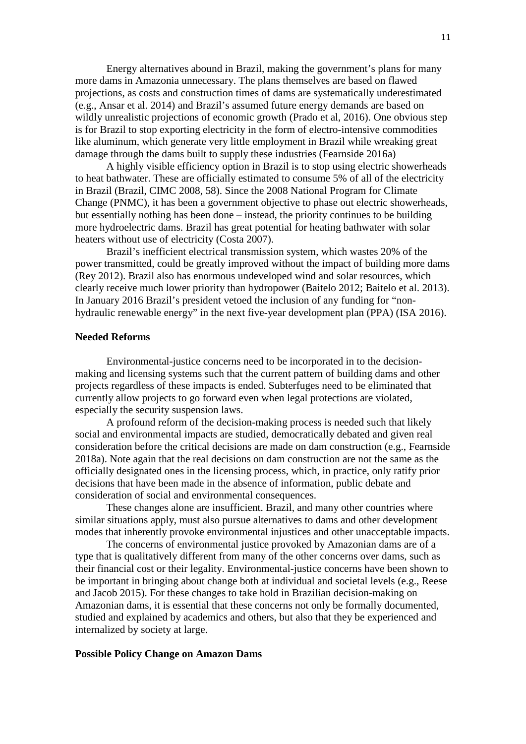Energy alternatives abound in Brazil, making the government's plans for many more dams in Amazonia unnecessary. The plans themselves are based on flawed projections, as costs and construction times of dams are systematically underestimated (e.g., Ansar et al. 2014) and Brazil's assumed future energy demands are based on wildly unrealistic projections of economic growth (Prado et al, 2016). One obvious step is for Brazil to stop exporting electricity in the form of electro-intensive commodities like aluminum, which generate very little employment in Brazil while wreaking great damage through the dams built to supply these industries (Fearnside 2016a)

A highly visible efficiency option in Brazil is to stop using electric showerheads to heat bathwater. These are officially estimated to consume 5% of all of the electricity in Brazil (Brazil, CIMC 2008, 58). Since the 2008 National Program for Climate Change (PNMC), it has been a government objective to phase out electric showerheads, but essentially nothing has been done – instead, the priority continues to be building more hydroelectric dams. Brazil has great potential for heating bathwater with solar heaters without use of electricity (Costa 2007).

Brazil's inefficient electrical transmission system, which wastes 20% of the power transmitted, could be greatly improved without the impact of building more dams (Rey 2012). Brazil also has enormous undeveloped wind and solar resources, which clearly receive much lower priority than hydropower (Baitelo 2012; Baitelo et al. 2013). In January 2016 Brazil's president vetoed the inclusion of any funding for "nonhydraulic renewable energy" in the next five-year development plan (PPA) (ISA 2016).

### **Needed Reforms**

Environmental-justice concerns need to be incorporated in to the decisionmaking and licensing systems such that the current pattern of building dams and other projects regardless of these impacts is ended. Subterfuges need to be eliminated that currently allow projects to go forward even when legal protections are violated, especially the security suspension laws.

A profound reform of the decision-making process is needed such that likely social and environmental impacts are studied, democratically debated and given real consideration before the critical decisions are made on dam construction (e.g., Fearnside 2018a). Note again that the real decisions on dam construction are not the same as the officially designated ones in the licensing process, which, in practice, only ratify prior decisions that have been made in the absence of information, public debate and consideration of social and environmental consequences.

These changes alone are insufficient. Brazil, and many other countries where similar situations apply, must also pursue alternatives to dams and other development modes that inherently provoke environmental injustices and other unacceptable impacts.

The concerns of environmental justice provoked by Amazonian dams are of a type that is qualitatively different from many of the other concerns over dams, such as their financial cost or their legality. Environmental-justice concerns have been shown to be important in bringing about change both at individual and societal levels (e.g., Reese and Jacob 2015). For these changes to take hold in Brazilian decision-making on Amazonian dams, it is essential that these concerns not only be formally documented, studied and explained by academics and others, but also that they be experienced and internalized by society at large.

#### **Possible Policy Change on Amazon Dams**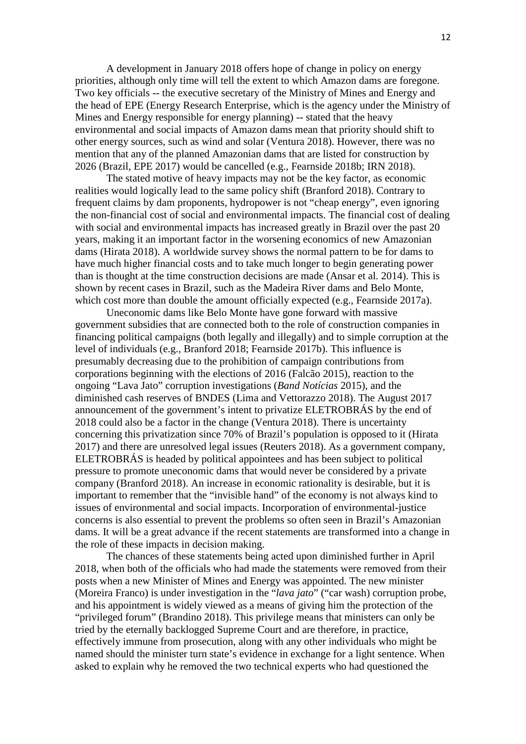A development in January 2018 offers hope of change in policy on energy priorities, although only time will tell the extent to which Amazon dams are foregone. Two key officials -- the executive secretary of the Ministry of Mines and Energy and the head of EPE (Energy Research Enterprise, which is the agency under the Ministry of Mines and Energy responsible for energy planning) -- stated that the heavy environmental and social impacts of Amazon dams mean that priority should shift to other energy sources, such as wind and solar (Ventura 2018). However, there was no mention that any of the planned Amazonian dams that are listed for construction by 2026 (Brazil, EPE 2017) would be cancelled (e.g., Fearnside 2018b; IRN 2018).

The stated motive of heavy impacts may not be the key factor, as economic realities would logically lead to the same policy shift (Branford 2018). Contrary to frequent claims by dam proponents, hydropower is not "cheap energy", even ignoring the non-financial cost of social and environmental impacts. The financial cost of dealing with social and environmental impacts has increased greatly in Brazil over the past 20 years, making it an important factor in the worsening economics of new Amazonian dams (Hirata 2018). A worldwide survey shows the normal pattern to be for dams to have much higher financial costs and to take much longer to begin generating power than is thought at the time construction decisions are made (Ansar et al. 2014). This is shown by recent cases in Brazil, such as the Madeira River dams and Belo Monte, which cost more than double the amount officially expected (e.g., Fearnside 2017a).

Uneconomic dams like Belo Monte have gone forward with massive government subsidies that are connected both to the role of construction companies in financing political campaigns (both legally and illegally) and to simple corruption at the level of individuals (e.g., Branford 2018; Fearnside 2017b). This influence is presumably decreasing due to the prohibition of campaign contributions from corporations beginning with the elections of 2016 (Falcão 2015), reaction to the ongoing "Lava Jato" corruption investigations (*Band Notícias* 2015), and the diminished cash reserves of BNDES (Lima and Vettorazzo 2018). The August 2017 announcement of the government's intent to privatize ELETROBRÁS by the end of 2018 could also be a factor in the change (Ventura 2018). There is uncertainty concerning this privatization since 70% of Brazil's population is opposed to it (Hirata 2017) and there are unresolved legal issues (Reuters 2018). As a government company, ELETROBRÁS is headed by political appointees and has been subject to political pressure to promote uneconomic dams that would never be considered by a private company (Branford 2018). An increase in economic rationality is desirable, but it is important to remember that the "invisible hand" of the economy is not always kind to issues of environmental and social impacts. Incorporation of environmental-justice concerns is also essential to prevent the problems so often seen in Brazil's Amazonian dams. It will be a great advance if the recent statements are transformed into a change in the role of these impacts in decision making.

The chances of these statements being acted upon diminished further in April 2018, when both of the officials who had made the statements were removed from their posts when a new Minister of Mines and Energy was appointed. The new minister (Moreira Franco) is under investigation in the "*lava jato*" ("car wash) corruption probe, and his appointment is widely viewed as a means of giving him the protection of the "privileged forum" (Brandino 2018). This privilege means that ministers can only be tried by the eternally backlogged Supreme Court and are therefore, in practice, effectively immune from prosecution, along with any other individuals who might be named should the minister turn state's evidence in exchange for a light sentence. When asked to explain why he removed the two technical experts who had questioned the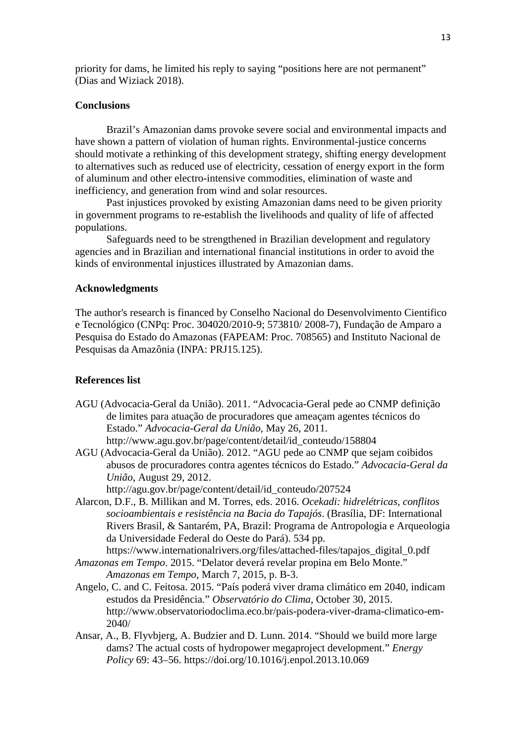priority for dams, he limited his reply to saying "positions here are not permanent" (Dias and Wiziack 2018).

#### **Conclusions**

Brazil's Amazonian dams provoke severe social and environmental impacts and have shown a pattern of violation of human rights. Environmental-justice concerns should motivate a rethinking of this development strategy, shifting energy development to alternatives such as reduced use of electricity, cessation of energy export in the form of aluminum and other electro-intensive commodities, elimination of waste and inefficiency, and generation from wind and solar resources.

Past injustices provoked by existing Amazonian dams need to be given priority in government programs to re-establish the livelihoods and quality of life of affected populations.

Safeguards need to be strengthened in Brazilian development and regulatory agencies and in Brazilian and international financial institutions in order to avoid the kinds of environmental injustices illustrated by Amazonian dams.

#### **Acknowledgments**

The author's research is financed by Conselho Nacional do Desenvolvimento Cientifico e Tecnológico (CNPq: Proc. 304020/2010-9; 573810/ 2008-7), Fundação de Amparo a Pesquisa do Estado do Amazonas (FAPEAM: Proc. 708565) and Instituto Nacional de Pesquisas da Amazônia (INPA: PRJ15.125).

#### **References list**

- AGU (Advocacia-Geral da União). 2011. "Advocacia-Geral pede ao CNMP definição de limites para atuação de procuradores que ameaçam agentes técnicos do Estado." *Advocacia-Geral da União*, May 26, 2011. http://www.agu.gov.br/page/content/detail/id\_conteudo/158804
- AGU (Advocacia-Geral da União). 2012. "AGU pede ao CNMP que sejam coibidos abusos de procuradores contra agentes técnicos do Estado." *Advocacia-Geral da União*, August 29, 2012.

http://agu.gov.br/page/content/detail/id\_conteudo/207524

Alarcon, D.F., B. Millikan and M. Torres, eds. 2016. *Ocekadi: hidrelétricas, conflitos socioambientais e resistência na Bacia do Tapajós*. (Brasília, DF: International Rivers Brasil, & Santarém, PA, Brazil: Programa de Antropologia e Arqueologia da Universidade Federal do Oeste do Pará). 534 pp.

https://www.internationalrivers.org/files/attached-files/tapajos\_digital\_0.pdf

- *Amazonas em Tempo*. 2015. "Delator deverá revelar propina em Belo Monte." *Amazonas em Tempo*, March 7, 2015, p. B-3.
- Angelo, C. and C. Feitosa. 2015. "País poderá viver drama climático em 2040, indicam estudos da Presidência." *Observatório do Clima,* October 30, 2015. http://www.observatoriodoclima.eco.br/pais-podera-viver-drama-climatico-em-2040/
- Ansar, A., B. Flyvbjerg, A. Budzier and D. Lunn. 2014. "Should we build more large dams? The actual costs of hydropower megaproject development." *Energy Policy* 69: 43–56. https://doi.org/10.1016/j.enpol.2013.10.069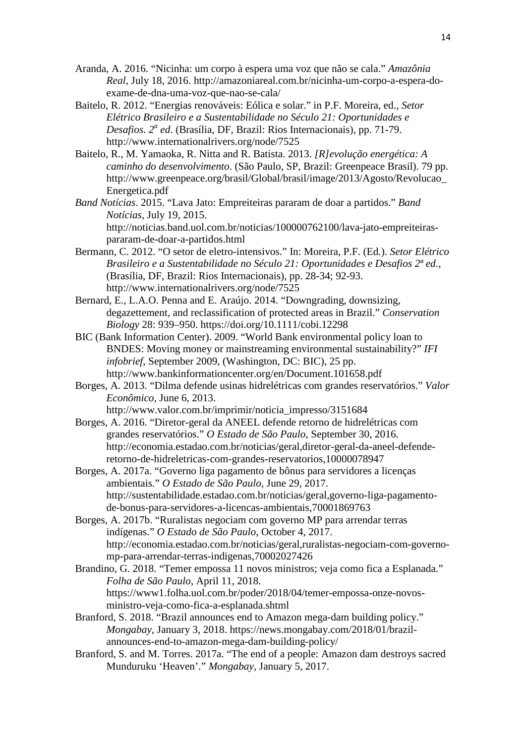- Aranda, A. 2016. "Nicinha: um corpo à espera uma voz que não se cala." *Amazônia Real*, July 18, 2016. http://amazoniareal.com.br/nicinha-um-corpo-a-espera-doexame-de-dna-uma-voz-que-nao-se-cala/
- Baitelo, R. 2012. "Energias renováveis: Eólica e solar." in P.F. Moreira, ed., *Setor Elétrico Brasileiro e a Sustentabilidade no Século 21: Oportunidades e Desafios. 2a ed*. (Brasília, DF, Brazil: Rios Internacionais), pp. 71-79. http://www.internationalrivers.org/node/7525
- Baitelo, R., M. Yamaoka, R. Nitta and R. Batista. 2013. *[R]evolução energética: A caminho do desenvolvimento*. (São Paulo, SP, Brazil: Greenpeace Brasil). 79 pp. http://www.greenpeace.org/brasil/Global/brasil/image/2013/Agosto/Revolucao\_ Energetica.pdf
- *Band Notícias*. 2015. "Lava Jato: Empreiteiras pararam de doar a partidos." *Band Notícias,* July 19, 2015. http://noticias.band.uol.com.br/noticias/100000762100/lava-jato-empreiteiraspararam-de-doar-a-partidos.html
- Bermann, C. 2012. "O setor de eletro-intensivos." In: Moreira, P.F. (Ed.). *Setor Elétrico Brasileiro e a Sustentabilidade no Século 21: Oportunidades e Desafios 2ª ed*., (Brasília, DF, Brazil: Rios Internacionais), pp. 28-34; 92-93. http://www.internationalrivers.org/node/7525
- Bernard, E., L.A.O. Penna and E. Araújo. 2014. "Downgrading, downsizing, degazettement, and reclassification of protected areas in Brazil." *Conservation Biology* 28: 939–950. https://doi.org/10.1111/cobi.12298
- BIC (Bank Information Center). 2009. "World Bank environmental policy loan to BNDES: Moving money or mainstreaming environmental sustainability?" *IFI infobrief*, September 2009, (Washington, DC: BIC), 25 pp. http://www.bankinformationcenter.org/en/Document.101658.pdf
- Borges, A. 2013. "Dilma defende usinas hidrelétricas com grandes reservatórios." *Valor Econômico,* June 6, 2013. http://www.valor.com.br/imprimir/noticia\_impresso/3151684
- Borges, A. 2016. "Diretor-geral da ANEEL defende retorno de hidrelétricas com grandes reservatórios." *O Estado de São Paulo*, September 30, 2016. http://economia.estadao.com.br/noticias/geral,diretor-geral-da-aneel-defenderetorno-de-hidreletricas-com-grandes-reservatorios,10000078947
- Borges, A. 2017a. "Governo liga pagamento de bônus para servidores a licenças ambientais." *O Estado de São Paulo,* June 29, 2017. http://sustentabilidade.estadao.com.br/noticias/geral,governo-liga-pagamentode-bonus-para-servidores-a-licencas-ambientais,70001869763
- Borges, A. 2017b. "Ruralistas negociam com governo MP para arrendar terras indígenas." *O Estado de São Paulo*, October 4, 2017. http://economia.estadao.com.br/noticias/geral,ruralistas-negociam-com-governomp-para-arrendar-terras-indigenas,70002027426
- Brandino, G. 2018. "Temer empossa 11 novos ministros; veja como fica a Esplanada." *Folha de São Paulo*, April 11, 2018. https://www1.folha.uol.com.br/poder/2018/04/temer-empossa-onze-novosministro-veja-como-fica-a-esplanada.shtml
- Branford, S. 2018. "Brazil announces end to Amazon mega-dam building policy." *Mongabay*, January 3, 2018. https://news.mongabay.com/2018/01/brazilannounces-end-to-amazon-mega-dam-building-policy/
- Branford, S. and M. Torres. 2017a. "The end of a people: Amazon dam destroys sacred Munduruku 'Heaven'." *Mongabay*, January 5, 2017.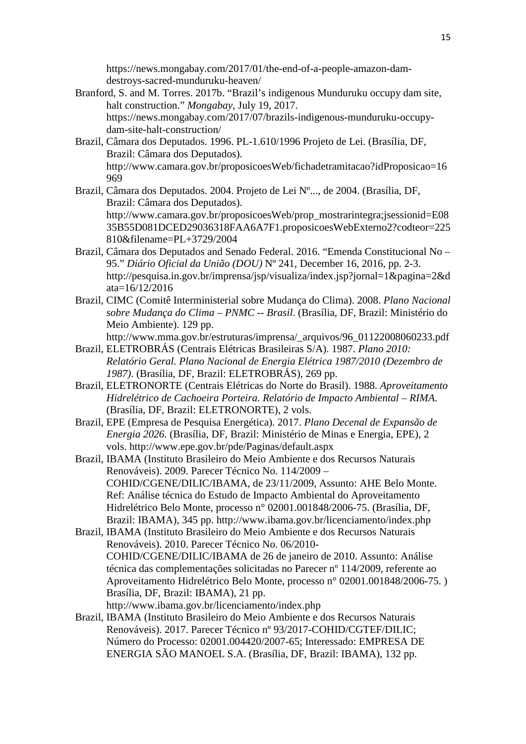https://news.mongabay.com/2017/01/the-end-of-a-people-amazon-damdestroys-sacred-munduruku-heaven/

- Branford, S. and M. Torres. 2017b. "Brazil's indigenous Munduruku occupy dam site, halt construction." *Mongabay*, July 19, 2017. https://news.mongabay.com/2017/07/brazils-indigenous-munduruku-occupydam-site-halt-construction/
- Brazil, Câmara dos Deputados. 1996. PL-1.610/1996 Projeto de Lei. (Brasília, DF, Brazil: Câmara dos Deputados). http://www.camara.gov.br/proposicoesWeb/fichadetramitacao?idProposicao=16 969
- Brazil, Câmara dos Deputados. 2004. Projeto de Lei Nº..., de 2004. (Brasília, DF, Brazil: Câmara dos Deputados). http://www.camara.gov.br/proposicoesWeb/prop\_mostrarintegra;jsessionid=E08 35B55D081DCED29036318FAA6A7F1.proposicoesWebExterno2?codteor=225 810&filename=PL+3729/2004
- Brazil, Câmara dos Deputados and Senado Federal. 2016. "Emenda Constitucional No 95." *Diário Oficial da União (DOU)* Nº 241, December 16, 2016, pp. 2-3. http://pesquisa.in.gov.br/imprensa/jsp/visualiza/index.jsp?jornal=1&pagina=2&d ata=16/12/2016
- Brazil, CIMC (Comitê Interministerial sobre Mudança do Clima). 2008. *Plano Nacional sobre Mudança do Clima – PNMC -- Brasil*. (Brasília, DF, Brazil: Ministério do Meio Ambiente). 129 pp.

http://www.mma.gov.br/estruturas/imprensa/\_arquivos/96\_01122008060233.pdf

- Brazil, ELETROBRÁS (Centrais Elétricas Brasileiras S/A). 1987. *Plano 2010: Relatório Geral. Plano Nacional de Energia Elétrica 1987/2010 (Dezembro de 1987)*. (Brasília, DF, Brazil: ELETROBRÁS), 269 pp.
- Brazil, ELETRONORTE (Centrais Elétricas do Norte do Brasil). 1988. *Aproveitamento Hidrelétrico de Cachoeira Porteira. Relatório de Impacto Ambiental – RIMA*. (Brasília, DF, Brazil: ELETRONORTE), 2 vols.
- Brazil, EPE (Empresa de Pesquisa Energética). 2017. *Plano Decenal de Expansão de Energia 2026.* (Brasília, DF, Brazil: Ministério de Minas e Energia, EPE), 2 vols. http://www.epe.gov.br/pde/Paginas/default.aspx
- Brazil, IBAMA (Instituto Brasileiro do Meio Ambiente e dos Recursos Naturais Renováveis). 2009. Parecer Técnico No. 114/2009 – COHID/CGENE/DILIC/IBAMA, de 23/11/2009, Assunto: AHE Belo Monte. Ref: Análise técnica do Estudo de Impacto Ambiental do Aproveitamento Hidrelétrico Belo Monte, processo n° 02001.001848/2006-75. (Brasília, DF, Brazil: IBAMA), 345 pp. http://www.ibama.gov.br/licenciamento/index.php
- Brazil, IBAMA (Instituto Brasileiro do Meio Ambiente e dos Recursos Naturais Renováveis). 2010. Parecer Técnico No. 06/2010- COHID/CGENE/DILIC/IBAMA de 26 de janeiro de 2010. Assunto: Análise técnica das complementações solicitadas no Parecer nº 114/2009, referente ao Aproveitamento Hidrelétrico Belo Monte, processo n° 02001.001848/2006-75. ) Brasília, DF, Brazil: IBAMA), 21 pp. http://www.ibama.gov.br/licenciamento/index.php

Brazil, IBAMA (Instituto Brasileiro do Meio Ambiente e dos Recursos Naturais

Renováveis). 2017. Parecer Técnico nº 93/2017-COHID/CGTEF/DILIC; Número do Processo: 02001.004420/2007-65; Interessado: EMPRESA DE ENERGIA SÃO MANOEL S.A. (Brasília, DF, Brazil: IBAMA), 132 pp.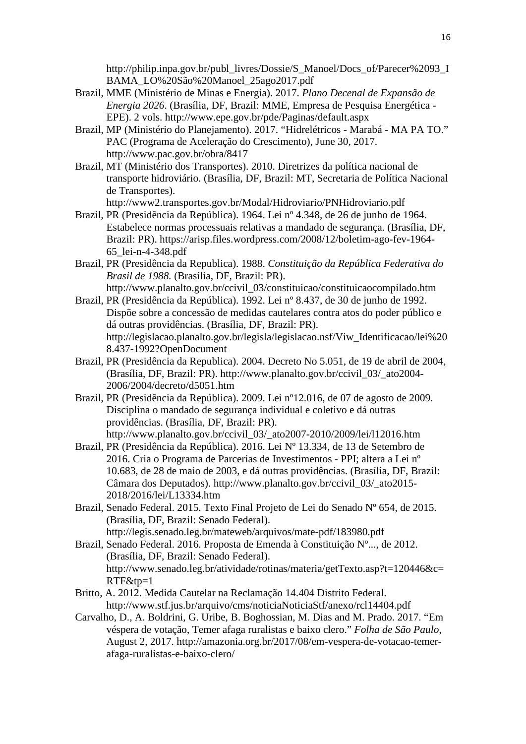http://philip.inpa.gov.br/publ\_livres/Dossie/S\_Manoel/Docs\_of/Parecer%2093\_I BAMA\_LO%20São%20Manoel\_25ago2017.pdf

- Brazil, MME (Ministério de Minas e Energia). 2017. *Plano Decenal de Expansão de Energia 2026*. (Brasília, DF, Brazil: MME, Empresa de Pesquisa Energética - EPE). 2 vols. http://www.epe.gov.br/pde/Paginas/default.aspx
- Brazil, MP (Ministério do Planejamento). 2017. "Hidrelétricos Marabá MA PA TO." PAC (Programa de Aceleração do Crescimento), June 30, 2017. http://www.pac.gov.br/obra/8417
- Brazil, MT (Ministério dos Transportes). 2010. Diretrizes da política nacional de transporte hidroviário. (Brasília, DF, Brazil: MT, Secretaria de Política Nacional de Transportes).
	- http://www2.transportes.gov.br/Modal/Hidroviario/PNHidroviario.pdf
- Brazil, PR (Presidência da República). 1964. Lei nº 4.348, de 26 de junho de 1964. Estabelece normas processuais relativas a mandado de segurança. (Brasília, DF, Brazil: PR). https://arisp.files.wordpress.com/2008/12/boletim-ago-fev-1964- 65\_lei-n-4-348.pdf
- Brazil, PR (Presidência da Republica). 1988. *Constituição da República Federativa do Brasil de 1988.* (Brasília, DF, Brazil: PR). http://www.planalto.gov.br/ccivil\_03/constituicao/constituicaocompilado.htm
- Brazil, PR (Presidência da República). 1992. Lei nº 8.437, de 30 de junho de 1992. Dispõe sobre a concessão de medidas cautelares contra atos do poder público e dá outras providências. (Brasília, DF, Brazil: PR). http://legislacao.planalto.gov.br/legisla/legislacao.nsf/Viw\_Identificacao/lei%20 8.437-1992?OpenDocument
- Brazil, PR (Presidência da Republica). 2004. Decreto No 5.051, de 19 de abril de 2004, (Brasília, DF, Brazil: PR). http://www.planalto.gov.br/ccivil\_03/\_ato2004- 2006/2004/decreto/d5051.htm
- Brazil, PR (Presidência da República). 2009. Lei nº12.016, de 07 de agosto de 2009. Disciplina o mandado de segurança individual e coletivo e dá outras providências. (Brasília, DF, Brazil: PR). http://www.planalto.gov.br/ccivil\_03/\_ato2007-2010/2009/lei/l12016.htm
- Brazil, PR (Presidência da República). 2016. Lei Nº 13.334, de 13 de Setembro de 2016. Cria o Programa de Parcerias de Investimentos - PPI; altera a Lei nº 10.683, de 28 de maio de 2003, e dá outras providências. (Brasília, DF, Brazil: Câmara dos Deputados). http://www.planalto.gov.br/ccivil\_03/\_ato2015- 2018/2016/lei/L13334.htm
- Brazil, Senado Federal. 2015. Texto Final Projeto de Lei do Senado Nº 654, de 2015. (Brasília, DF, Brazil: Senado Federal). http://legis.senado.leg.br/mateweb/arquivos/mate-pdf/183980.pdf
- Brazil, Senado Federal. 2016. Proposta de Emenda à Constituição Nº..., de 2012. (Brasília, DF, Brazil: Senado Federal). http://www.senado.leg.br/atividade/rotinas/materia/getTexto.asp?t=120446&c= RTF&tp=1
- Britto, A. 2012. Medida Cautelar na Reclamação 14.404 Distrito Federal. http://www.stf.jus.br/arquivo/cms/noticiaNoticiaStf/anexo/rcl14404.pdf
- Carvalho, D., A. Boldrini, G. Uribe, B. Boghossian, M. Dias and M. Prado. 2017. "Em véspera de votação, Temer afaga ruralistas e baixo clero." *Folha de São Paulo*, August 2, 2017. http://amazonia.org.br/2017/08/em-vespera-de-votacao-temerafaga-ruralistas-e-baixo-clero/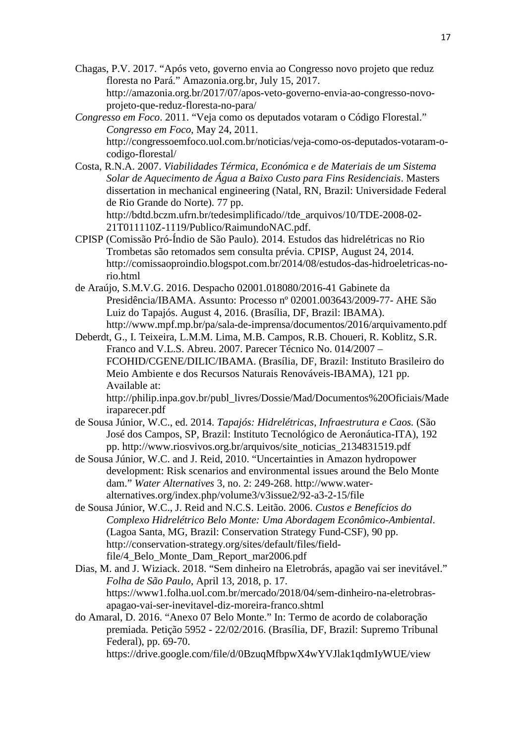- Chagas, P.V. 2017. "Após veto, governo envia ao Congresso novo projeto que reduz floresta no Pará." Amazonia.org.br, July 15, 2017. http://amazonia.org.br/2017/07/apos-veto-governo-envia-ao-congresso-novoprojeto-que-reduz-floresta-no-para/
- *Congresso em Foco*. 2011. "Veja como os deputados votaram o Código Florestal." *Congresso em Foco*, May 24, 2011. http://congressoemfoco.uol.com.br/noticias/veja-como-os-deputados-votaram-ocodigo-florestal/
- Costa, R.N.A. 2007. *Viabilidades Térmica, Económica e de Materiais de um Sistema Solar de Aquecimento de Água a Baixo Custo para Fins Residenciais*. Masters dissertation in mechanical engineering (Natal, RN, Brazil: Universidade Federal de Rio Grande do Norte). 77 pp.

http://bdtd.bczm.ufrn.br/tedesimplificado//tde\_arquivos/10/TDE-2008-02- 21T011110Z-1119/Publico/RaimundoNAC.pdf.

- CPISP (Comissão Pró-Índio de São Paulo). 2014. Estudos das hidrelétricas no Rio Trombetas são retomados sem consulta prévia. CPISP, August 24, 2014. http://comissaoproindio.blogspot.com.br/2014/08/estudos-das-hidroeletricas-norio.html
- de Araújo, S.M.V.G. 2016. Despacho 02001.018080/2016-41 Gabinete da Presidência/IBAMA. Assunto: Processo nº 02001.003643/2009-77- AHE São Luiz do Tapajós. August 4, 2016. (Brasília, DF, Brazil: IBAMA). http://www.mpf.mp.br/pa/sala-de-imprensa/documentos/2016/arquivamento.pdf

Deberdt, G., I. Teixeira, L.M.M. Lima, M.B. Campos, R.B. Choueri, R. Koblitz, S.R. Franco and V.L.S. Abreu. 2007. Parecer Técnico No. 014/2007 – FCOHID/CGENE/DILIC/IBAMA. (Brasília, DF, Brazil: Instituto Brasileiro do Meio Ambiente e dos Recursos Naturais Renováveis-IBAMA), 121 pp. Available at:

http://philip.inpa.gov.br/publ\_livres/Dossie/Mad/Documentos%20Oficiais/Made iraparecer.pdf

- de Sousa Júnior, W.C., ed. 2014. *Tapajós: Hidrelétricas, Infraestrutura e Caos.* (São José dos Campos, SP, Brazil: Instituto Tecnológico de Aeronáutica-ITA), 192 pp. http://www.riosvivos.org.br/arquivos/site\_noticias\_2134831519.pdf
- de Sousa Júnior, W.C. and J. Reid, 2010. "Uncertainties in Amazon hydropower development: Risk scenarios and environmental issues around the Belo Monte dam." *Water Alternatives* 3, no. 2: 249-268. http://www.wateralternatives.org/index.php/volume3/v3issue2/92-a3-2-15/file
- de Sousa Júnior, W.C., J. Reid and N.C.S. Leitão. 2006. *Custos e Benefícios do Complexo Hidrelétrico Belo Monte: Uma Abordagem Econômico-Ambiental*. (Lagoa Santa, MG, Brazil: Conservation Strategy Fund-CSF), 90 pp. http://conservation-strategy.org/sites/default/files/fieldfile/4\_Belo\_Monte\_Dam\_Report\_mar2006.pdf
- Dias, M. and J. Wiziack. 2018. "Sem dinheiro na Eletrobrás, apagão vai ser inevitável." *Folha de São Paulo*, April 13, 2018, p. 17. https://www1.folha.uol.com.br/mercado/2018/04/sem-dinheiro-na-eletrobrasapagao-vai-ser-inevitavel-diz-moreira-franco.shtml
- do Amaral, D. 2016. "Anexo 07 Belo Monte." In: Termo de acordo de colaboração premiada. Petição 5952 - 22/02/2016. (Brasília, DF, Brazil: Supremo Tribunal Federal), pp. 69-70. https://drive.google.com/file/d/0BzuqMfbpwX4wYVJlak1qdmIyWUE/view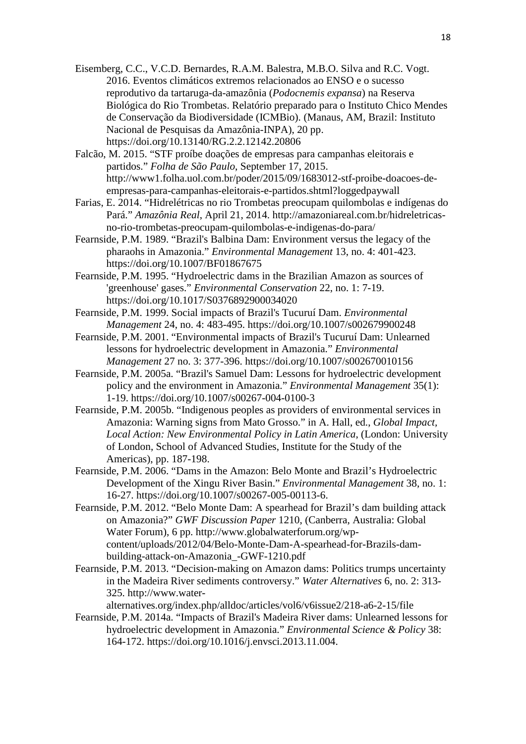Eisemberg, C.C., V.C.D. Bernardes, R.A.M. Balestra, M.B.O. Silva and R.C. Vogt. 2016. Eventos climáticos extremos relacionados ao ENSO e o sucesso reprodutivo da tartaruga-da-amazônia (*Podocnemis expansa*) na Reserva Biológica do Rio Trombetas. Relatório preparado para o Instituto Chico Mendes de Conservação da Biodiversidade (ICMBio). (Manaus, AM, Brazil: Instituto Nacional de Pesquisas da Amazônia-INPA), 20 pp. https://doi.org/10.13140/RG.2.2.12142.20806

Falcão, M. 2015. "STF proíbe doações de empresas para campanhas eleitorais e partidos." *Folha de São Paulo*, September 17, 2015. http://www1.folha.uol.com.br/poder/2015/09/1683012-stf-proibe-doacoes-deempresas-para-campanhas-eleitorais-e-partidos.shtml?loggedpaywall

Farias, E. 2014. "Hidrelétricas no rio Trombetas preocupam quilombolas e indígenas do Pará." *Amazônia Real*, April 21, 2014. http://amazoniareal.com.br/hidreletricasno-rio-trombetas-preocupam-quilombolas-e-indigenas-do-para/

Fearnside, P.M. 1989. "Brazil's Balbina Dam: Environment versus the legacy of the pharaohs in Amazonia." *Environmental Management* 13, no. 4: 401-423. https://doi.org/10.1007/BF01867675

Fearnside, P.M. 1995. "Hydroelectric dams in the Brazilian Amazon as sources of 'greenhouse' gases." *Environmental Conservation* 22, no. 1: 7-19. https://doi.org/10.1017/S0376892900034020

Fearnside, P.M. 1999. Social impacts of Brazil's Tucuruí Dam. *Environmental Management* 24, no. 4: 483-495. https://doi.org/10.1007/s002679900248

Fearnside, P.M. 2001. "Environmental impacts of Brazil's Tucuruí Dam: Unlearned lessons for hydroelectric development in Amazonia." *Environmental Management* 27 no. 3: 377-396. https://doi.org/10.1007/s002670010156

Fearnside, P.M. 2005a. "Brazil's Samuel Dam: Lessons for hydroelectric development policy and the environment in Amazonia." *Environmental Management* 35(1): 1-19. https://doi.org/10.1007/s00267-004-0100-3

Fearnside, P.M. 2005b. "Indigenous peoples as providers of environmental services in Amazonia: Warning signs from Mato Grosso." in A. Hall, ed., *Global Impact, Local Action: New Environmental Policy in Latin America*, (London: University of London, School of Advanced Studies, Institute for the Study of the Americas), pp. 187-198.

Fearnside, P.M. 2006. "Dams in the Amazon: Belo Monte and Brazil's Hydroelectric Development of the Xingu River Basin." *Environmental Management* 38, no. 1: 16-27. https://doi.org/10.1007/s00267-005-00113-6.

Fearnside, P.M. 2012. "Belo Monte Dam: A spearhead for Brazil's dam building attack on Amazonia?" *GWF Discussion Paper* 1210, (Canberra, Australia: Global Water Forum), 6 pp. http://www.globalwaterforum.org/wpcontent/uploads/2012/04/Belo-Monte-Dam-A-spearhead-for-Brazils-dambuilding-attack-on-Amazonia\_-GWF-1210.pdf

Fearnside, P.M. 2013. "Decision-making on Amazon dams: Politics trumps uncertainty in the Madeira River sediments controversy." *Water Alternatives* 6, no. 2: 313- 325. http://www.water-

alternatives.org/index.php/alldoc/articles/vol6/v6issue2/218-a6-2-15/file

Fearnside, P.M. 2014a. "Impacts of Brazil's Madeira River dams: Unlearned lessons for hydroelectric development in Amazonia." *Environmental Science & Policy* 38: 164-172. https://doi.org/10.1016/j.envsci.2013.11.004.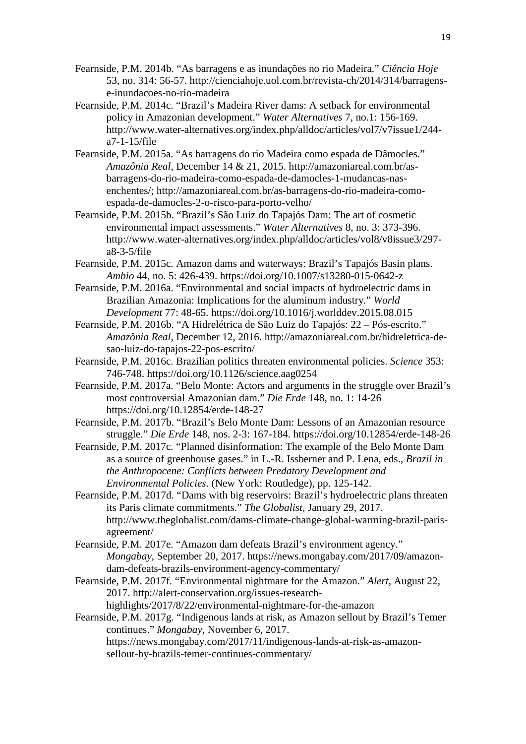- Fearnside, P.M. 2014b. "As barragens e as inundações no rio Madeira." *Ciência Hoje*  53, no. 314: 56-57. http://cienciahoje.uol.com.br/revista-ch/2014/314/barragense-inundacoes-no-rio-madeira
- Fearnside, P.M. 2014c. "Brazil's Madeira River dams: A setback for environmental policy in Amazonian development." *Water Alternatives* 7, no.1: 156-169. http://www.water-alternatives.org/index.php/alldoc/articles/vol7/v7issue1/244 a7-1-15/file
- Fearnside, P.M. 2015a. "As barragens do rio Madeira como espada de Dâmocles." *Amazônia Real*, December 14 & 21, 2015. http://amazoniareal.com.br/asbarragens-do-rio-madeira-como-espada-de-damocles-1-mudancas-nasenchentes/; http://amazoniareal.com.br/as-barragens-do-rio-madeira-comoespada-de-damocles-2-o-risco-para-porto-velho/
- Fearnside, P.M. 2015b. "Brazil's São Luiz do Tapajós Dam: The art of cosmetic environmental impact assessments." *Water Alternatives* 8, no. 3: 373-396. http://www.water-alternatives.org/index.php/alldoc/articles/vol8/v8issue3/297 a8-3-5/file
- Fearnside, P.M. 2015c. Amazon dams and waterways: Brazil's Tapajós Basin plans. *Ambio* 44, no. 5: 426-439. https://doi.org/10.1007/s13280-015-0642-z
- Fearnside, P.M. 2016a. "Environmental and social impacts of hydroelectric dams in Brazilian Amazonia: Implications for the aluminum industry." *World Development* 77: 48-65. https://doi.org/10.1016/j.worlddev.2015.08.015
- Fearnside, P.M. 2016b. "A Hidrelétrica de São Luiz do Tapajós: 22 Pós-escrito." *Amazônia Real*, December 12, 2016. http://amazoniareal.com.br/hidreletrica-desao-luiz-do-tapajos-22-pos-escrito/
- Fearnside, P.M. 2016c. Brazilian politics threaten environmental policies. *Science* 353: 746-748. https://doi.org/10.1126/science.aag0254
- Fearnside, P.M. 2017a. "Belo Monte: Actors and arguments in the struggle over Brazil's most controversial Amazonian dam." *Die Erde* 148, no. 1: 14-26 https://doi.org/10.12854/erde-148-27
- Fearnside, P.M. 2017b. "Brazil's Belo Monte Dam: Lessons of an Amazonian resource struggle." *Die Erde* 148, nos. 2-3: 167-184. https://doi.org/10.12854/erde-148-26
- Fearnside, P.M. 2017c. "Planned disinformation: The example of the Belo Monte Dam as a source of greenhouse gases." in L.-R. Issberner and P. Lena, eds., *Brazil in the Anthropocene: Conflicts between Predatory Development and Environmental Policies*. (New York: Routledge), pp. 125-142.
- Fearnside, P.M. 2017d. "Dams with big reservoirs: Brazil's hydroelectric plans threaten its Paris climate commitments." *The Globalist*, January 29, 2017. http://www.theglobalist.com/dams-climate-change-global-warming-brazil-parisagreement/
- Fearnside, P.M. 2017e. "Amazon dam defeats Brazil's environment agency." *Mongabay*, September 20, 2017. https://news.mongabay.com/2017/09/amazondam-defeats-brazils-environment-agency-commentary/
- Fearnside, P.M. 2017f. "Environmental nightmare for the Amazon." *Alert*, August 22, 2017. http://alert-conservation.org/issues-researchhighlights/2017/8/22/environmental-nightmare-for-the-amazon

Fearnside, P.M. 2017g. "Indigenous lands at risk, as Amazon sellout by Brazil's Temer continues." *Mongabay,* November 6, 2017. https://news.mongabay.com/2017/11/indigenous-lands-at-risk-as-amazon-

sellout-by-brazils-temer-continues-commentary/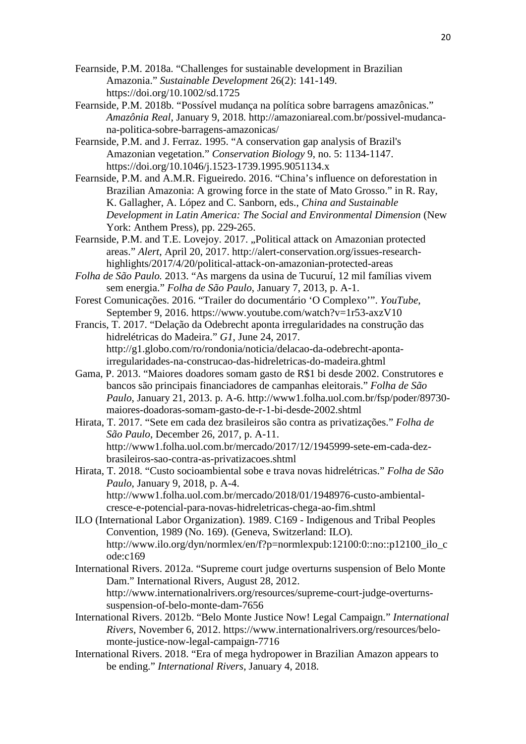- Fearnside, P.M. 2018a. "Challenges for sustainable development in Brazilian Amazonia." *Sustainable Development* 26(2): 141-149. https://doi.org/10.1002/sd.1725
- Fearnside, P.M. 2018b. "Possível mudança na política sobre barragens amazônicas." *Amazônia Real*, January 9, 2018*.* http://amazoniareal.com.br/possivel-mudancana-politica-sobre-barragens-amazonicas/
- Fearnside, P.M. and J. Ferraz. 1995. "A conservation gap analysis of Brazil's Amazonian vegetation." *Conservation Biology* 9, no. 5: 1134-1147. https://doi.org/10.1046/j.1523-1739.1995.9051134.x
- Fearnside, P.M. and A.M.R. Figueiredo. 2016. "China's influence on deforestation in Brazilian Amazonia: A growing force in the state of Mato Grosso." in R. Ray, K. Gallagher, A. López and C. Sanborn, eds., *China and Sustainable Development in Latin America: The Social and Environmental Dimension* (New York: Anthem Press), pp. 229-265.
- Fearnside, P.M. and T.E. Lovejoy. 2017. "Political attack on Amazonian protected areas." *Alert*, April 20, 2017. http://alert-conservation.org/issues-researchhighlights/2017/4/20/political-attack-on-amazonian-protected-areas
- *Folha de São Paulo.* 2013. "As margens da usina de Tucuruí, 12 mil famílias vivem sem energia." *Folha de São Paulo*, January 7, 2013, p. A-1.
- Forest Comunicações. 2016. "Trailer do documentário 'O Complexo'". *YouTube*, September 9, 2016. https://www.youtube.com/watch?v=1r53-axzV10
- Francis, T. 2017. "Delação da Odebrecht aponta irregularidades na construção das hidrelétricas do Madeira." *G1*, June 24, 2017. http://g1.globo.com/ro/rondonia/noticia/delacao-da-odebrecht-apontairregularidades-na-construcao-das-hidreletricas-do-madeira.ghtml
- Gama, P. 2013. "Maiores doadores somam gasto de R\$1 bi desde 2002. Construtores e bancos são principais financiadores de campanhas eleitorais." *Folha de São Paulo*, January 21, 2013. p. A-6. http://www1.folha.uol.com.br/fsp/poder/89730 maiores-doadoras-somam-gasto-de-r-1-bi-desde-2002.shtml
- Hirata, T. 2017. "Sete em cada dez brasileiros são contra as privatizações." *Folha de São Paulo*, December 26, 2017, p. A-11. http://www1.folha.uol.com.br/mercado/2017/12/1945999-sete-em-cada-dezbrasileiros-sao-contra-as-privatizacoes.shtml
- Hirata, T. 2018. "Custo socioambiental sobe e trava novas hidrelétricas." *Folha de São Paulo*, January 9, 2018, p. A-4. http://www1.folha.uol.com.br/mercado/2018/01/1948976-custo-ambientalcresce-e-potencial-para-novas-hidreletricas-chega-ao-fim.shtml
- ILO (International Labor Organization). 1989. C169 Indigenous and Tribal Peoples Convention, 1989 (No. 169). (Geneva, Switzerland: ILO). http://www.ilo.org/dyn/normlex/en/f?p=normlexpub:12100:0::no::p12100\_ilo\_c ode:c169
- International Rivers. 2012a. "Supreme court judge overturns suspension of Belo Monte Dam." International Rivers, August 28, 2012. http://www.internationalrivers.org/resources/supreme-court-judge-overturnssuspension-of-belo-monte-dam-7656
- International Rivers. 2012b. "Belo Monte Justice Now! Legal Campaign." *International Rivers*, November 6, 2012. https://www.internationalrivers.org/resources/belomonte-justice-now-legal-campaign-7716
- International Rivers. 2018. "Era of mega hydropower in Brazilian Amazon appears to be ending." *International Rivers*, January 4, 2018.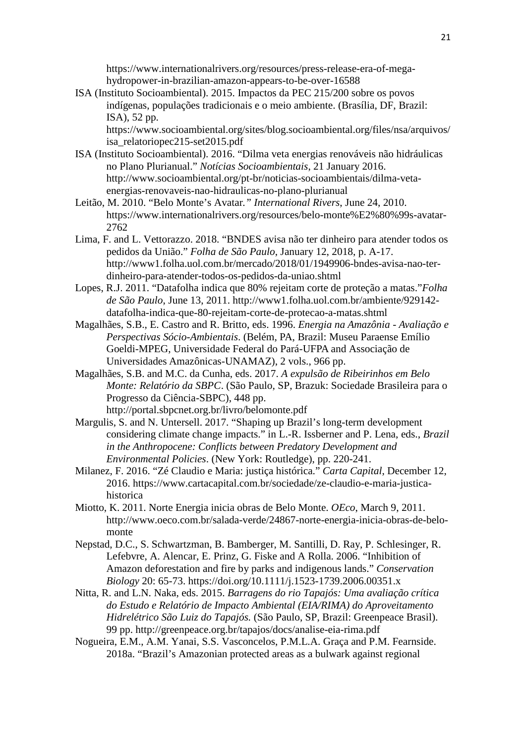https://www.internationalrivers.org/resources/press-release-era-of-megahydropower-in-brazilian-amazon-appears-to-be-over-16588

ISA (Instituto Socioambiental). 2015. Impactos da PEC 215/200 sobre os povos indígenas, populações tradicionais e o meio ambiente. (Brasília, DF, Brazil: ISA), 52 pp.

https://www.socioambiental.org/sites/blog.socioambiental.org/files/nsa/arquivos/ isa\_relatoriopec215-set2015.pdf

- ISA (Instituto Socioambiental). 2016. "Dilma veta energias renováveis não hidráulicas no Plano Plurianual." *Notícias Socioambientais*, 21 January 2016. http://www.socioambiental.org/pt-br/noticias-socioambientais/dilma-vetaenergias-renovaveis-nao-hidraulicas-no-plano-plurianual
- Leitão, M. 2010. "Belo Monte's Avatar*." International Rivers*, June 24, 2010. https://www.internationalrivers.org/resources/belo-monte%E2%80%99s-avatar-2762
- Lima, F. and L. Vettorazzo. 2018. "BNDES avisa não ter dinheiro para atender todos os pedidos da União." *Folha de São Paulo*, January 12, 2018, p. A-17. http://www1.folha.uol.com.br/mercado/2018/01/1949906-bndes-avisa-nao-terdinheiro-para-atender-todos-os-pedidos-da-uniao.shtml
- Lopes, R.J. 2011. "Datafolha indica que 80% rejeitam corte de proteção a matas."*Folha de São Paulo*, June 13, 2011. http://www1.folha.uol.com.br/ambiente/929142 datafolha-indica-que-80-rejeitam-corte-de-protecao-a-matas.shtml
- Magalhães, S.B., E. Castro and R. Britto, eds. 1996. *Energia na Amazônia Avaliação e Perspectivas Sócio-Ambientais*. (Belém, PA, Brazil: Museu Paraense Emílio Goeldi-MPEG, Universidade Federal do Pará-UFPA and Associação de Universidades Amazônicas-UNAMAZ), 2 vols., 966 pp.
- Magalhães, S.B. and M.C. da Cunha, eds. 2017. *A expulsão de Ribeirinhos em Belo Monte: Relatório da SBPC*. (São Paulo, SP, Brazuk: Sociedade Brasileira para o Progresso da Ciência-SBPC), 448 pp. http://portal.sbpcnet.org.br/livro/belomonte.pdf
- Margulis, S. and N. Untersell. 2017. "Shaping up Brazil's long-term development considering climate change impacts." in L.-R. Issberner and P. Lena, eds., *Brazil in the Anthropocene: Conflicts between Predatory Development and Environmental Policies*. (New York: Routledge), pp. 220-241.
- Milanez, F. 2016. "Zé Claudio e Maria: justiça histórica." *Carta Capital*, December 12, 2016. https://www.cartacapital.com.br/sociedade/ze-claudio-e-maria-justicahistorica
- Miotto, K. 2011. Norte Energia inicia obras de Belo Monte. *OEco*, March 9, 2011. http://www.oeco.com.br/salada-verde/24867-norte-energia-inicia-obras-de-belomonte
- Nepstad, D.C., S. Schwartzman, B. Bamberger, M. Santilli, D. Ray, P. Schlesinger, R. Lefebvre, A. Alencar, E. Prinz, G. Fiske and A Rolla. 2006. "Inhibition of Amazon deforestation and fire by parks and indigenous lands." *Conservation Biology* 20: 65-73. https://doi.org/10.1111/j.1523-1739.2006.00351.x
- Nitta, R. and L.N. Naka, eds. 2015. *Barragens do rio Tapajós: Uma avaliação crítica do Estudo e Relatório de Impacto Ambiental (EIA/RIMA) do Aproveitamento Hidrelétrico São Luiz do Tapajós.* (São Paulo, SP, Brazil: Greenpeace Brasil). 99 pp. http://greenpeace.org.br/tapajos/docs/analise-eia-rima.pdf
- Nogueira, E.M., A.M. Yanai, S.S. Vasconcelos, P.M.L.A. Graça and P.M. Fearnside. 2018a. "Brazil's Amazonian protected areas as a bulwark against regional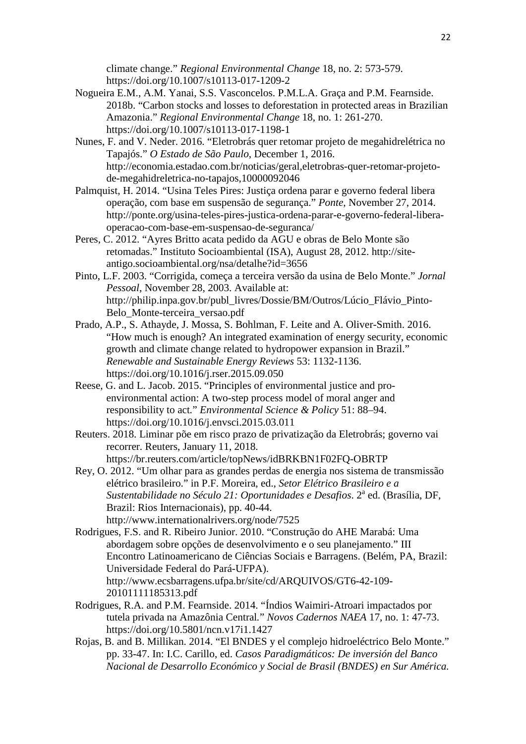climate change." *Regional Environmental Change* 18, no. 2: 573-579. https://doi.org/10.1007/s10113-017-1209-2

- Nogueira E.M., A.M. Yanai, S.S. Vasconcelos. P.M.L.A. Graça and P.M. Fearnside. 2018b. "Carbon stocks and losses to deforestation in protected areas in Brazilian Amazonia." *Regional Environmental Change* 18, no. 1: 261-270. https://doi.org/10.1007/s10113-017-1198-1
- Nunes, F. and V. Neder. 2016. "Eletrobrás quer retomar projeto de megahidrelétrica no Tapajós." *O Estado de São Paulo,* December 1, 2016. http://economia.estadao.com.br/noticias/geral,eletrobras-quer-retomar-projetode-megahidreletrica-no-tapajos,10000092046
- Palmquist, H. 2014. "Usina Teles Pires: Justiça ordena parar e governo federal libera operação, com base em suspensão de segurança." *Ponte*, November 27, 2014. http://ponte.org/usina-teles-pires-justica-ordena-parar-e-governo-federal-liberaoperacao-com-base-em-suspensao-de-seguranca/
- Peres, C. 2012. "Ayres Britto acata pedido da AGU e obras de Belo Monte são retomadas." Instituto Socioambiental (ISA), August 28, 2012. http://siteantigo.socioambiental.org/nsa/detalhe?id=3656
- Pinto, L.F. 2003. "Corrigida, começa a terceira versão da usina de Belo Monte." *Jornal Pessoal*, November 28, 2003. Available at: http://philip.inpa.gov.br/publ\_livres/Dossie/BM/Outros/Lúcio\_Flávio\_Pinto-Belo\_Monte-terceira\_versao.pdf
- Prado, A.P., S. Athayde, J. Mossa, S. Bohlman, F. Leite and A. Oliver-Smith. 2016. "How much is enough? An integrated examination of energy security, economic growth and climate change related to hydropower expansion in Brazil." *Renewable and Sustainable Energy Reviews* 53: 1132-1136. https://doi.org/10.1016/j.rser.2015.09.050
- Reese, G. and L. Jacob. 2015. "Principles of environmental justice and proenvironmental action: A two-step process model of moral anger and responsibility to act*.*" *Environmental Science & Policy* 51: 88–94. https://doi.org/10.1016/j.envsci.2015.03.011
- Reuters. 2018. Liminar põe em risco prazo de privatização da Eletrobrás; governo vai recorrer. Reuters, January 11, 2018. https://br.reuters.com/article/topNews/idBRKBN1F02FQ-OBRTP
- Rey, O. 2012. "Um olhar para as grandes perdas de energia nos sistema de transmissão elétrico brasileiro." in P.F. Moreira, ed., *Setor Elétrico Brasileiro e a*  Sustentabilidade no Século 21: Oportunidades e Desafios. 2<sup>ª</sup> ed. (Brasília, DF, Brazil: Rios Internacionais), pp. 40-44. http://www.internationalrivers.org/node/7525
- Rodrigues, F.S. and R. Ribeiro Junior. 2010. "Construção do AHE Marabá: Uma abordagem sobre opções de desenvolvimento e o seu planejamento." III Encontro Latinoamericano de Ciências Sociais e Barragens. (Belém, PA, Brazil: Universidade Federal do Pará-UFPA). http://www.ecsbarragens.ufpa.br/site/cd/ARQUIVOS/GT6-42-109- 20101111185313.pdf
- Rodrigues, R.A. and P.M. Fearnside. 2014. "Índios Waimiri-Atroari impactados por tutela privada na Amazônia Central*.*" *Novos Cadernos NAEA* 17, no. 1: 47-73. https://doi.org/10.5801/ncn.v17i1.1427
- Rojas, B. and B. Millikan. 2014. "El BNDES y el complejo hidroeléctrico Belo Monte." pp. 33-47. In: I.C. Carillo, ed. *Casos Paradigmáticos: De inversión del Banco Nacional de Desarrollo Económico y Social de Brasil (BNDES) en Sur América.*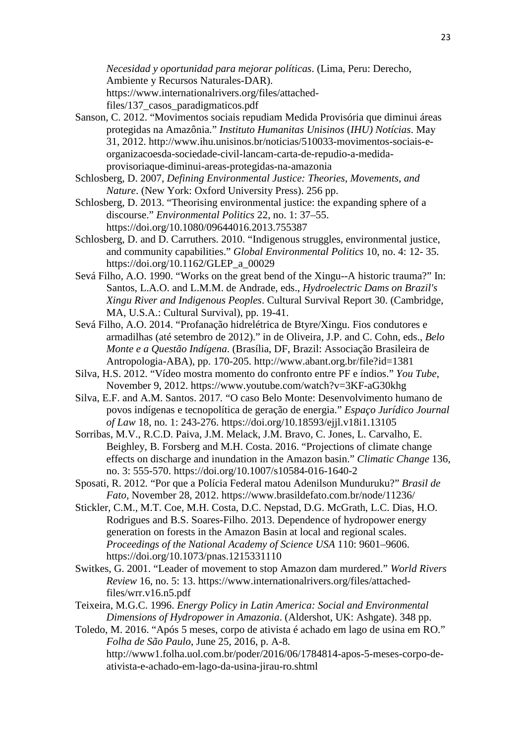*Necesidad y oportunidad para mejorar políticas*. (Lima, Peru: Derecho, Ambiente y Recursos Naturales-DAR). https://www.internationalrivers.org/files/attached-

files/137\_casos\_paradigmaticos.pdf

- Sanson, C. 2012. "Movimentos sociais repudiam Medida Provisória que diminui áreas protegidas na Amazônia." *Instituto Humanitas Unisinos* (*IHU) Notícias*. May 31, 2012. http://www.ihu.unisinos.br/noticias/510033-movimentos-sociais-eorganizacoesda-sociedade-civil-lancam-carta-de-repudio-a-medidaprovisoriaque-diminui-areas-protegidas-na-amazonia
- Schlosberg, D. 2007, *Defining Environmental Justice: Theories, Movements, and Nature*. (New York: Oxford University Press). 256 pp.

Schlosberg, D. 2013. "Theorising environmental justice: the expanding sphere of a discourse." *Environmental Politics* 22, no. 1: 37–55. https://doi.org/10.1080/09644016.2013.755387

Schlosberg, D. and D. Carruthers. 2010. "Indigenous struggles, environmental justice, and community capabilities." *Global Environmental Politics* 10, no. 4: 12- 35. https://doi.org/10.1162/GLEP\_a\_00029

- Sevá Filho, A.O. 1990. "Works on the great bend of the Xingu--A historic trauma?" In: Santos, L.A.O. and L.M.M. de Andrade, eds., *Hydroelectric Dams on Brazil's Xingu River and Indigenous Peoples*. Cultural Survival Report 30. (Cambridge, MA, U.S.A.: Cultural Survival), pp. 19-41.
- Sevá Filho, A.O. 2014. "Profanação hidrelétrica de Btyre/Xingu. Fios condutores e armadilhas (até setembro de 2012)." in de Oliveira, J.P. and C. Cohn, eds., *Belo Monte e a Questão Indígena*. (Brasília, DF, Brazil: Associação Brasileira de Antropologia-ABA), pp. 170-205. http://www.abant.org.br/file?id=1381
- Silva, H.S. 2012. "Vídeo mostra momento do confronto entre PF e índios." *You Tube*, November 9, 2012. https://www.youtube.com/watch?v=3KF-aG30khg

Silva, E.F. and A.M. Santos. 2017*.* "O caso Belo Monte: Desenvolvimento humano de povos indígenas e tecnopolítica de geração de energia." *Espaço Jurídico Journal of Law* 18, no. 1: 243-276. https://doi.org/10.18593/ejjl.v18i1.13105

Sorribas, M.V., R.C.D. Paiva, J.M. Melack, J.M. Bravo, C. Jones, L. Carvalho, E. Beighley, B. Forsberg and M.H. Costa. 2016. "Projections of climate change effects on discharge and inundation in the Amazon basin." *Climatic Change* 136, no. 3: 555-570. https://doi.org/10.1007/s10584-016-1640-2

Sposati, R. 2012*.* "Por que a Polícia Federal matou Adenilson Munduruku?" *Brasil de Fato,* November 28, 2012. https://www.brasildefato.com.br/node/11236/

- Stickler, C.M., M.T. Coe, M.H. Costa, D.C. Nepstad, D.G. McGrath, L.C. Dias, H.O. Rodrigues and B.S. Soares-Filho. 2013. Dependence of hydropower energy generation on forests in the Amazon Basin at local and regional scales. *Proceedings of the National Academy of Science USA* 110: 9601–9606. https://doi.org/10.1073/pnas.1215331110
- Switkes, G. 2001. "Leader of movement to stop Amazon dam murdered." *World Rivers Review* 16, no. 5: 13. https://www.internationalrivers.org/files/attachedfiles/wrr.v16.n5.pdf
- Teixeira, M.G.C. 1996. *Energy Policy in Latin America: Social and Environmental Dimensions of Hydropower in Amazonia*. (Aldershot, UK: Ashgate). 348 pp.

Toledo, M. 2016. "Após 5 meses, corpo de ativista é achado em lago de usina em RO." *Folha de São Paulo*, June 25, 2016, p. A-8. http://www1.folha.uol.com.br/poder/2016/06/1784814-apos-5-meses-corpo-deativista-e-achado-em-lago-da-usina-jirau-ro.shtml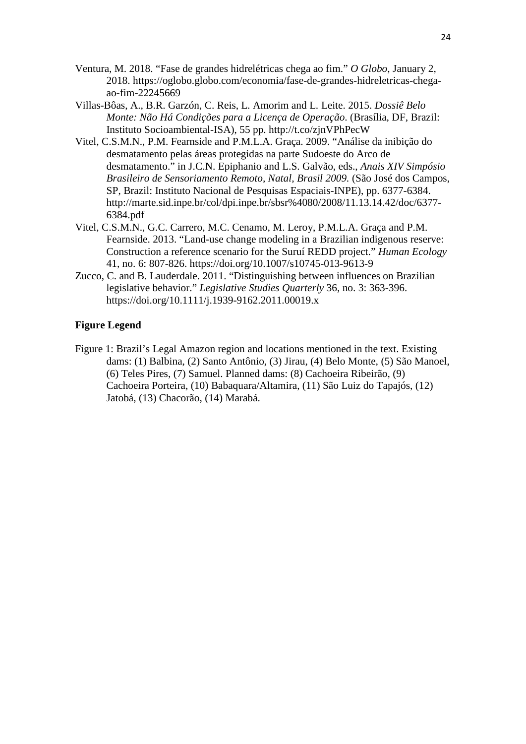- Ventura, M. 2018. "Fase de grandes hidrelétricas chega ao fim." *O Globo*, January 2, 2018. https://oglobo.globo.com/economia/fase-de-grandes-hidreletricas-chegaao-fim-22245669
- Villas-Bôas, A., B.R. Garzón, C. Reis, L. Amorim and L. Leite. 2015. *Dossiê Belo Monte: Não Há Condições para a Licença de Operação*. (Brasília, DF, Brazil: Instituto Socioambiental-ISA), 55 pp. http://t.co/zjnVPhPecW
- Vitel, C.S.M.N., P.M. Fearnside and P.M.L.A. Graça. 2009. "Análise da inibição do desmatamento pelas áreas protegidas na parte Sudoeste do Arco de desmatamento." in J.C.N. Epiphanio and L.S. Galvão, eds., *Anais XIV Simpósio Brasileiro de Sensoriamento Remoto, Natal, Brasil 2009.* (São José dos Campos, SP, Brazil: Instituto Nacional de Pesquisas Espaciais-INPE), pp. 6377-6384. http://marte.sid.inpe.br/col/dpi.inpe.br/sbsr%4080/2008/11.13.14.42/doc/6377- 6384.pdf
- Vitel, C.S.M.N., G.C. Carrero, M.C. Cenamo, M. Leroy, P.M.L.A. Graça and P.M. Fearnside. 2013. "Land-use change modeling in a Brazilian indigenous reserve: Construction a reference scenario for the Suruí REDD project." *Human Ecology* 41, no. 6: 807-826. https://doi.org/10.1007/s10745-013-9613-9
- Zucco, C. and B. Lauderdale. 2011. "Distinguishing between influences on Brazilian legislative behavior." *Legislative Studies Quarterly* 36, no. 3: 363-396. https://doi.org/10.1111/j.1939-9162.2011.00019.x

## **Figure Legend**

Figure 1: Brazil's Legal Amazon region and locations mentioned in the text. Existing dams: (1) Balbina, (2) Santo Antônio, (3) Jirau, (4) Belo Monte, (5) São Manoel, (6) Teles Pires, (7) Samuel. Planned dams: (8) Cachoeira Ribeirão, (9) Cachoeira Porteira, (10) Babaquara/Altamira, (11) São Luiz do Tapajós, (12) Jatobá, (13) Chacorão, (14) Marabá.